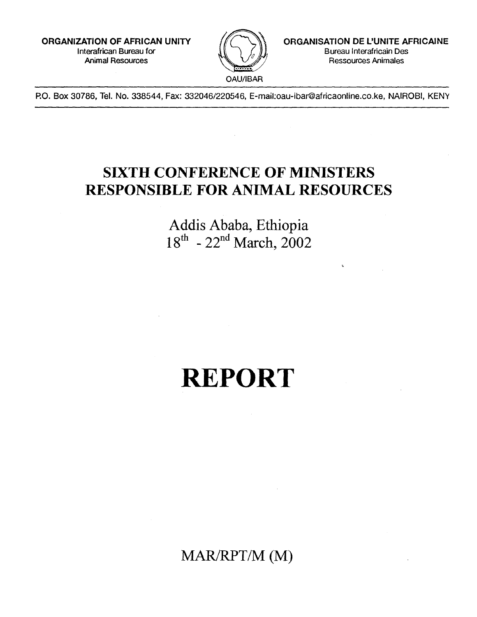**ORGANIZATION OF AFRICAN UNITY**  Interafrican Bureau for Animal Resources



**ORGANISATION DE L'UNITE AFRICAINE**  Bureau Interafricain Des Ressources Animales

P.O. Box 30786, Tel. No. 338544, Fax: 332046/220546, E-mail:oau-ibar@africaonline.co.ke, NAIROBI, KEN

## **SIXTH CONFERENCE OF MINISTERS RESPONSIBLE FOR ANIMAL RESOURCES**

Addis Ababa, Ethiopia  $18^{th}$  -  $22^{nd}$  March, 2002

# **REPORT**

MAR/RPT/M (M)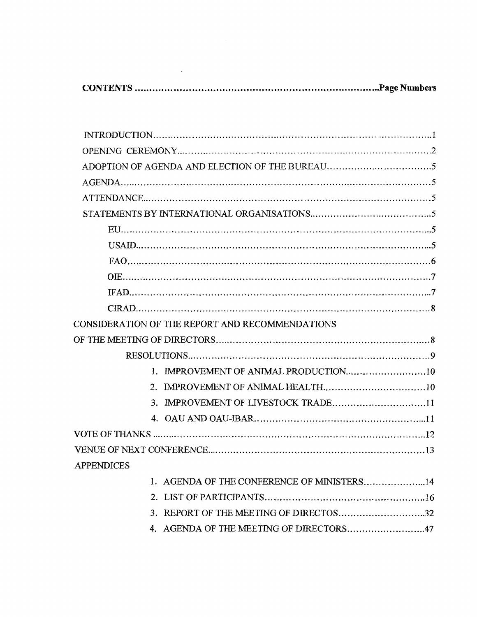**CONTENTS Page Numbers** 

 $\label{eq:2.1} \frac{1}{2} \int_{\mathbb{R}^3} \frac{1}{\sqrt{2}} \, \frac{1}{\sqrt{2}} \, \frac{1}{\sqrt{2}} \, \frac{1}{\sqrt{2}} \, \frac{1}{\sqrt{2}} \, \frac{1}{\sqrt{2}} \, \frac{1}{\sqrt{2}} \, \frac{1}{\sqrt{2}} \, \frac{1}{\sqrt{2}} \, \frac{1}{\sqrt{2}} \, \frac{1}{\sqrt{2}} \, \frac{1}{\sqrt{2}} \, \frac{1}{\sqrt{2}} \, \frac{1}{\sqrt{2}} \, \frac{1}{\sqrt{2}} \, \frac{1}{\sqrt{2}} \,$ 

| CONSIDERATION OF THE REPORT AND RECOMMENDATIONS |
|-------------------------------------------------|
|                                                 |
|                                                 |
|                                                 |
|                                                 |
| 3. IMPROVEMENT OF LIVESTOCK TRADE11             |
|                                                 |
|                                                 |
|                                                 |
| <b>APPENDICES</b>                               |
|                                                 |
| 1. AGENDA OF THE CONFERENCE OF MINISTERS14      |
|                                                 |
|                                                 |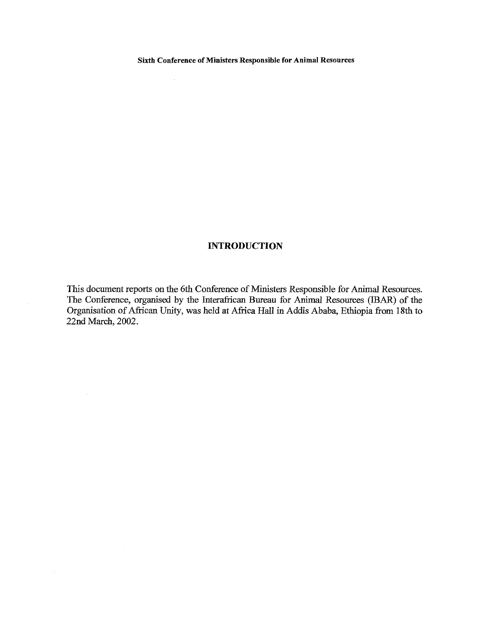$\sim 10^6$ 

### **INTRODUCTION**

This document reports on the 6th Conference of Ministers Responsible for Animal Resources. The Conference, organised by the Interafrican Bureau for Animal Resources (IBAR) of the Organisation of African Unity, was held at Africa Hall in Addis Ababa, Ethiopia from 18th to 22nd March, 2002.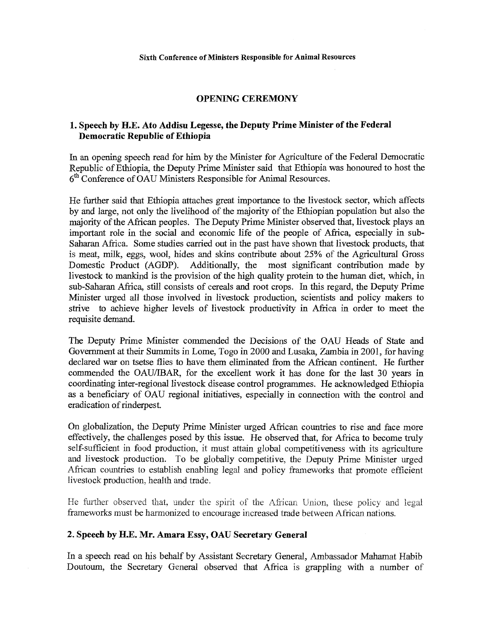### **OPENING CEREMONY**

### **1. Speech by H.E. Ato Addisu Legesse, the Deputy Prime Minister of the Federal Democratic Republic of Ethiopia**

In an opening speech read for him by the Minister for Agriculture of the Federal Democratic Republic of Ethiopia, the Deputy Prime Minister said that Ethiopia was honoured to host the 6<sup>th</sup> Conference of OAU Ministers Responsible for Animal Resources.

He further said that Ethiopia attaches great importance to the livestock sector, which affects by and large, not only the livelihood of the majority of the Ethiopian population but also the majority of the African peoples. The Deputy Prime Minister observed that, livestock plays an important role in the social and economic life of the people of Africa, especially in sub-Saharan Africa. Some studies carried out in the past have shown that livestock products, that is meat, milk, eggs, wool, hides and skins contribute about 25% of the Agricultural Gross Domestic Product (AGDP). Additionally, the most significant contribution made by livestock to mankind is the provision of the high quality protein to the human diet, which, in sub-Saharan Africa, still consists of cereals and root crops. In this regard, the Deputy Prime Minister urged all those involved in livestock production, scientists and policy makers to strive to achieve higher levels of livestock productivity in Africa in order to meet the requisite demand.

The Deputy Prime Minister commended the Decisions of the OAU Heads of State and Government at their Summits in Lome, Togo in 2000 and Lusaka, Zambia in 2001, for having declared war on tsetse flies to have them eliminated from the African continent. He further commended the OAU/IBAR, for the excellent work it has done for the last 30 years in coordinating inter-regional livestock disease control programmes. He acknowledged Ethiopia as a beneficiary of OAU regional initiatives, especially in connection with the control and eradication of rinderpest.

On globalization, the Deputy Prime Minister urged African countries to rise and face more effectively, the challenges posed by this issue. He observed that, for Africa to become truly self-sufficient in food production, it must attain global competitiveness with its agriculture and livestock production. To be globally competitive, the Deputy Prime Minister urged African countries to establish enabling legal and policy frameworks that promote efficient livestock production, health and trade.

He further observed that, under the spirit of the African Union, these policy and legal frameworks must be harmonized to encourage increased trade between African nations.

### **2. Speech by H.E. Mr. Amara Essy, OAU Secretary General**

In a speech read on his behalf by Assistant Secretary General, Ambassador Mahamat Habib Doutoum, the Secretary General observed that Africa is grappling with a number of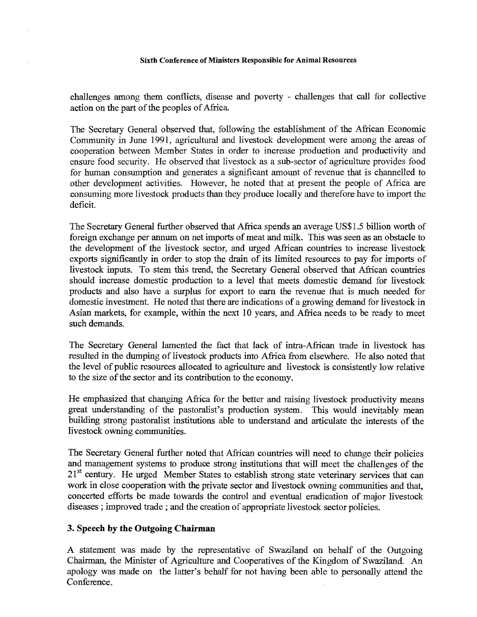challenges among them conflicts, disease and poverty - challenges that call for collective action on the part of the peoples of Africa.

The Secretary General observed that, following the establishment of the African Economic Community in June 1991, agricultural and livestock development were among the areas of cooperation between Member States in order to increase production and productivity and ensure food security. He observed that livestock as a sub-sector of agriculture provides food for human consumption and generates a significant amount of revenue that is channelled to other development activities. However, he noted that at present the people of Africa are consuming more livestock products than they produce locally and therefore have to import the deficit.

The Secretary General further observed that Africa spends an average US\$1.5 billion worth of foreign exchange per annum on net imports of meat and milk. This was seen as an obstacle to the development of the livestock sector, and urged African countries to increase livestock exports significantly in order to stop the drain of its limited resources to pay for imports of livestock inputs. To stem this trend, the Secretary General observed that African countries should increase domestic production to a level that meets domestic demand for livestock products and also have a surplus for export to earn the revenue that is much needed for domestic investment. He noted that there are indications of a growing demand for livestock in Asian markets, for example, within the next 10 years, and Africa needs to be ready to meet such demands.

The Secretary General lamented the fact that lack of infra-African trade in livestock has resulted in the dumping of livestock products into Africa from elsewhere. He also noted that the level of public resources allocated to agriculture and livestock is consistently low relative to the size of the sector and its contribution to the economy.

He emphasized that changing Africa for the better and raising livestock productivity means great understanding of the pastoralist's production system. This would inevitably mean building strong pastoralist institutions able to understand and articulate the interests of the livestock owning communities.

The Secretary General further noted that African countries will need to change their policies and management systems to produce strong institutions that will meet the challenges of the  $21<sup>st</sup>$  century. He urged Member States to establish strong state veterinary services that can work in close cooperation with the private sector and livestock owning communities and that, concerted efforts be made towards the control and eventual eradication of major livestock diseases ; improved trade ; and the creation of appropriate livestock sector policies.

### **3. Speech by the Outgoing Chairman**

A statement was made by the representative of Swaziland on behalf of the Outgoing Chairman, the Minister of Agriculture and Cooperatives of the Kingdom of Swaziland. An apology was made on the latter's behalf for not having been able to personally attend the Conference.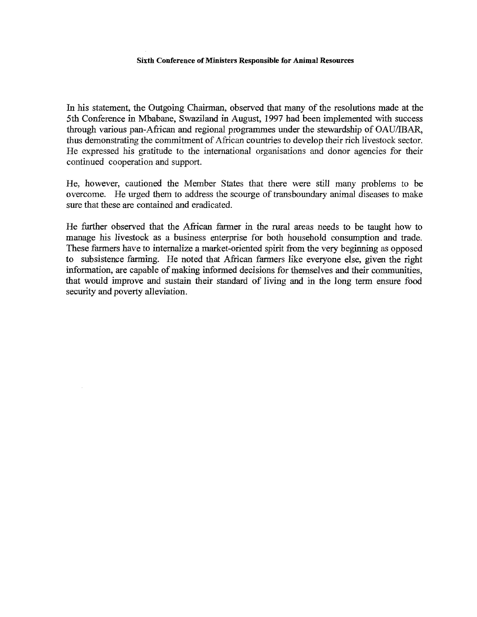In his statement, the Outgoing Chairman, observed that many of the resolutions made at the 5th Conference in Mbabane, Swaziland in August, 1997 had been implemented with success through various pan-African and regional programmes under the stewardship of OAU/IBAR, thus demonstrating the commitment of African countries to develop their rich livestock sector. He expressed his gratitude to the international organisations and donor agencies for their continued cooperation and support.

He, however, cautioned the Member States that there were still many problems to be overcome. He urged them to address the scourge of transboundary animal diseases to make sure that these are contained and eradicated.

He further observed that the African farmer in the rural areas needs to be taught how to manage his livestock as a business enterprise for both household consumption and trade. These farmers have to internalize a market-oriented spirit from the very beginning as opposed to subsistence farming. He noted that African farmers like everyone else, given the right information, are capable of making informed decisions for themselves and their communities, that would improve and sustain their standard of living and in the long term ensure food security and poverty alleviation.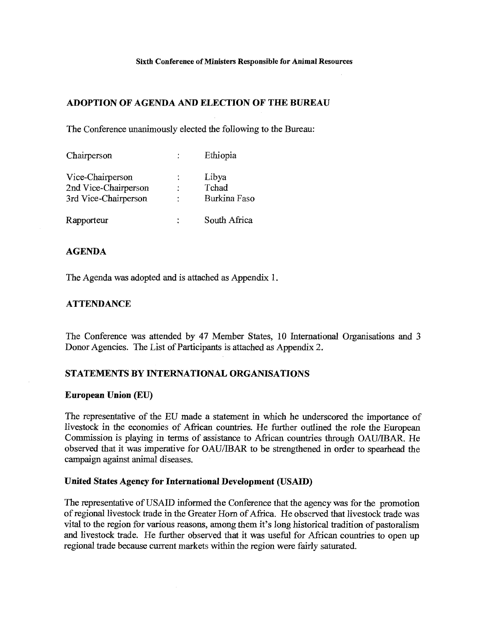### **ADOPTION OF AGENDA AND ELECTION OF TILE BUREAU**

The Conference unanimously elected the following to the Bureau:

| Chairperson          | Ethiopia     |
|----------------------|--------------|
| Vice-Chairperson     | Libya        |
| 2nd Vice-Chairperson | Tchad        |
| 3rd Vice-Chairperson | Burkina Faso |
| Rapporteur           | South Africa |

### **AGENDA**

The Agenda was adopted and is attached as Appendix 1.

### **ATTENDANCE**

The Conference was attended by 47 Member States, 10 International Organisations and 3 Donor Agencies. The List of Participants is attached as Appendix 2.

### **STATEMENTS BY INTERNATIONAL ORGANISATIONS**

### **European Union (EU)**

The representative of the EU made a statement in which he underscored the importance of livestock in the economies of African countries. He further outlined the role the European Commission is playing in terms of assistance to African countries through OAU/IBAR, He observed that it was imperative for OAU/IBAR to be strengthened in order to spearhead the campaign against animal diseases.

### **United States Agency for International Development (USAID)**

The representative of USAID informed the Conference that the agency was for the promotion of regional livestock trade in the Greater Horn of Africa. He observed that livestock trade was vital to the region for various reasons, among them it's long historical tradition of pastoralism and livestock trade. He further observed that it was useful for African countries to open up regional trade because current markets within the region were fairly saturated.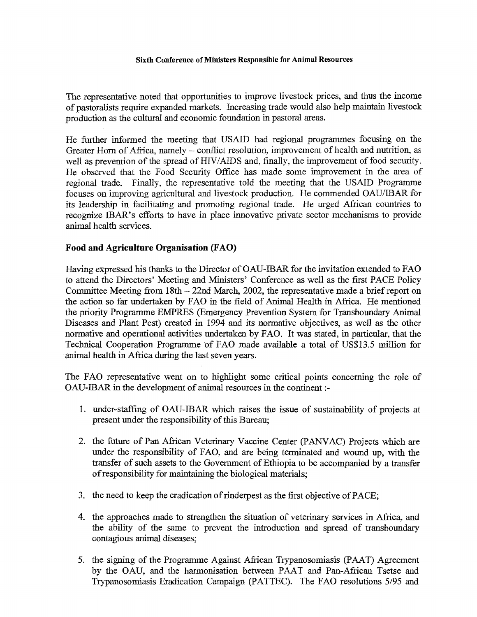The representative noted that opportunities to improve livestock prices, and thus the income of pastoralists require expanded markets. Increasing trade would also help maintain livestock production as the cultural and economic foundation in pastoral areas.

He further informed the meeting that USAID had regional programmes focusing on the Greater Horn of Africa, namely — conflict resolution, improvement of health and nutrition, as well as prevention of the spread of HIV/AIDS and, finally, the improvement of food security. He observed that the Food Security Office has made some improvement in the area of regional trade. Finally, the representative told the meeting that the USAID Programme focuses on improving agricultural and livestock production. He commended OAU/IBAR for its leadership in facilitating and promoting regional trade. He urged African countries to recognize IBAR's efforts to have in place innovative private sector mechanisms to provide animal health services.

### **Food and Agriculture Organisation (FAO)**

Having expressed his thanks to the Director of OAU-IBAR for the invitation extended to FAO to attend the Directors' Meeting and Ministers' Conference as well as the first PACE Policy Committee Meeting from 18th — 22nd March, 2002, the representative made a brief report on the action so far undertaken by FAO in the field of Animal Health in Africa. He mentioned the priority Programme EMPRES (Emergency Prevention System for Transboundary Animal Diseases and Plant Pest) created in 1994 and its normative objectives, as well as the other normative and operational activities undertaken by FAO. It was stated, in particular, that the Technical Cooperation Programme of FAO made available a total of US\$13 5 million for animal health in Africa during the last seven years.

The FAO representative went on to highlight some critical points concerning the role of OAU-IBAR in the development of animal resources in the continent :-

- 1. under-staffing of OAU-IBAR which raises the issue of sustainability of projects at present under the responsibility of this Bureau;
- 2. the future of Pan African Veterinary Vaccine Center (PANVAC) Projects which are under the responsibility of FAO, and are being terminated and wound up, with the transfer of such assets to the Government of Ethiopia to be accompanied by a transfer of responsibility for maintaining the biological materials;
- 3. the need to keep the eradication of rinderpest as the first objective of PACE;
- 4. the approaches made to strengthen the situation of veterinary services in Africa, and the ability of the same to prevent the introduction and spread of transboundary contagious animal diseases;
- 5. the signing of the Programme Against African Trypanosomiasis (PAAT) Agreement by the OAU, and the harmonisation between PAAT and Pan-African Tsetse and Trypanosomiasis Eradication Campaign (PATTEC). The FAO resolutions 5/95 and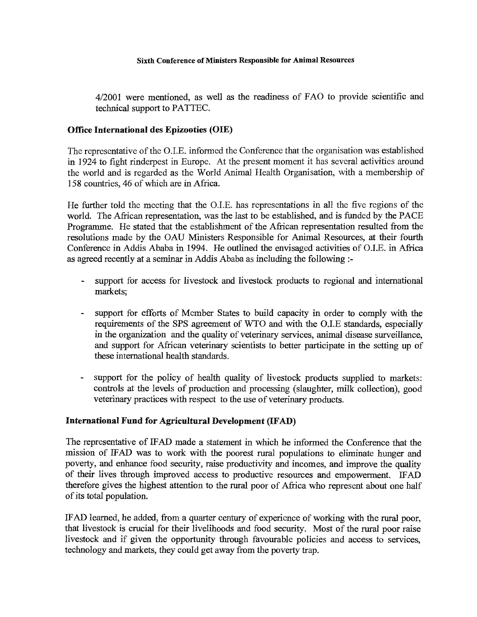4/2001 were mentioned, as well as the readiness of FAO to provide scientific and technical support to PATTEC.

### **Office International des Epizooties (OIE)**

The representative of the O.I.E. informed the Conference that the organisation was established in 1924 to fight rinderpest in Europe. At the present moment it has several activities around the world and is regarded as the World Animal Health Organisation, with a membership of 158 countries, 46 of which are in Africa.

He further told the meeting that the O.I.E. has representations in all the five regions of the world. The African representation, was the last to be established, and is funded by the PACE Programme. He stated that the establishment of the African representation resulted from the resolutions made by the OAU Ministers Responsible for Animal Resources, at their fourth Conference in Addis Ababa in 1994. He outlined the envisaged activities of O.I.E. in Africa as agreed recently at a seminar in Addis Ababa as including the following :-

- support for access for livestock and livestock products to regional and international markets;
- support for efforts of Member States to build capacity in order to comply with the requirements of the SPS agreement of WTO and with the O.I.E standards, especially in the organization and the quality of veterinary services, animal disease surveillance, and support for African veterinary scientists to better participate in the setting up of these international health standards.
- support for the policy of health quality of livestock products supplied to markets: controls at the levels of production and processing (slaughter, milk collection), good veterinary practices with respect to the use of veterinary products.

### **International Fund for Agricultural Development (IFAD)**

The representative of IFAD made a statement in which he informed the Conference that the mission of WAD was to work with the poorest rural populations to eliminate hunger and poverty, and enhance food security, raise productivity and incomes, and improve the quality of their lives through improved access to productive resources and empowerment. IFAD therefore gives the highest attention to the rural poor of Africa who represent about one half of its total population.

IFAD learned, he added, from a quarter century of experience of working with the rural poor, that livestock is crucial for their livelihoods and food security. Most of the rural poor raise livestock and if given the opportunity through favourable policies and access to services, technology and markets, they could get away from the poverty trap.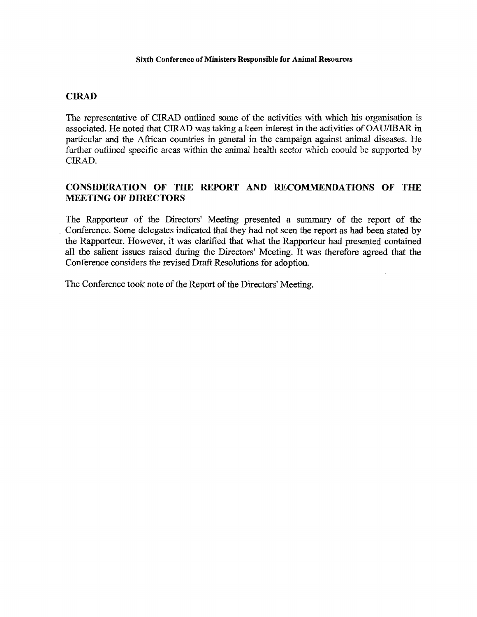### **CIRAD**

The representative of CIRAD outlined some of the activities with which his organisation is associated. He noted that CIRAD was taking a keen interest in the activities of OAU/IBAR in particular and the African countries in general in the campaign against animal diseases. He further outlined specific areas within the animal health sector which coould be supported by CIRAD.

### **CONSIDERATION OF THE REPORT AND RECOMMENDATIONS OF THE MEETING OF DIRECTORS**

The Rapporteur of the Directors' Meeting presented a summary of the report of the Conference. Some delegates indicated that they had not seen the report as had been stated by the Rapporteur. However, it was clarified that what the Rapporteur had presented contained all the salient issues raised during the Directors' Meeting. It was therefore agreed that the Conference considers the revised Draft Resolutions for adoption.

The Conference took note of the Report of the Directors' Meeting.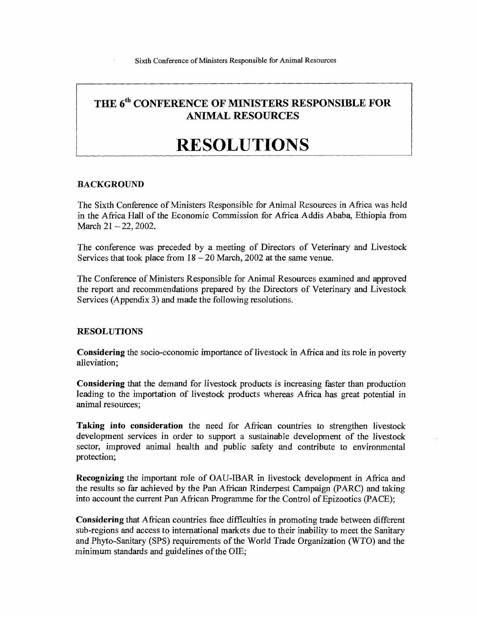## THE 6<sup>th</sup> CONFERENCE OF MINISTERS RESPONSIBLE FOR **ANIMAL RESOURCES**

# **RESOLUTIONS**

### BACKGROUND

The Sixth Conference of Ministers Responsible for Animal Resources in Africa was held in the Africa Hall of the Economic Commission for Africa Addis Ababa, Ethiopia from March 21 – 22, 2002.

The conference was preceded by a meeting of Directors of Veterinary and Livestock Services that took place from  $18 - 20$  March, 2002 at the same venue.

The Conference of Ministers Responsible for Animal Resources examined and approved the report and recommendations prepared by the Directors of Veterinary and Livestock Services (Appendix 3) and made the following resolutions.

### **RESOLUTIONS**

**Considering** the socio-economic importance of livestock in Africa and its role in poverty alleviation;

**Considering** that the demand for livestock products is increasing faster than production leading to the importation of livestock products whereas Africa has great potential in animal resources;

**Taking into consideration** the need for African countries to strengthen livestock development services in order to support a sustainable development of the livestock sector, improved animal health and public safety and contribute to environmental protection;

**Recognizing** the important role of OAU-IBAR in livestock development in Africa and the results so far achieved by the Pan African Rinderpest Campaign (PARC) and taking into account the current Pan African Programme for the Control of Epizootics (PACE);

**Considering** that African countries face difficulties in promoting trade between different sub-regions and access to international markets due to their inability to meet the Sanitary and Phyto-Sanitary (SPS) requirements of the World Trade Organization (WTO) and the minimum standards and guidelines of the 01E;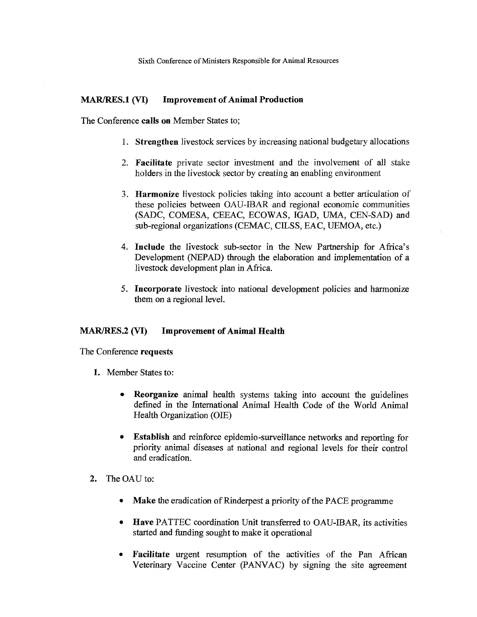### **MAR/RES.1 (VI) Improvement of Animal Production**

The Conference **calls on** Member States to;

- **1. Strengthen** livestock services by increasing national budgetary allocations
- **2. Facilitate** private sector investment and the involvement of all stake holders in the livestock sector by creating an enabling environment
- **3. Harmonize** livestock policies taking into account a better articulation of these policies between OAU-IBAR and regional economic communities (SADC, COMESA, CEEAC, ECOWAS, IGAD, UMA, CEN-SAD) and sub-regional organizations (CEMAC, CILSS, EAC, UEMOA, etc.)
- **4. Include** the livestock sub-sector in the New Partnership for Africa's Development (NEPAD) through the elaboration and implementation of a livestock development plan in Africa.
- **5. Incorporate** livestock into national development policies and harmonize them on a regional level.

### **MAR/RES.2 (VI)** Improvement of Animal Health

The Conference **requests** 

- **1.** Member States to:
	- **Reorganize** animal health systems taking into account the guidelines defined in the International Animal Health Code of the World Animal Health Organization (01E)
	- **Establish** and reinforce epidemio-surveillance networks and reporting for priority animal diseases at national and regional levels for their control and eradication.
- **2.** The OAU to:
	- **Make** the eradication of Rinderpest a priority of the PACE programme
	- **Have** PATTEC coordination Unit transferred to OAU-IBAR, its activities started and funding sought to make it operational
	- **Facilitate** urgent resumption of the activities of the Pan African Veterinary Vaccine Center (PANVAC) by signing the site agreement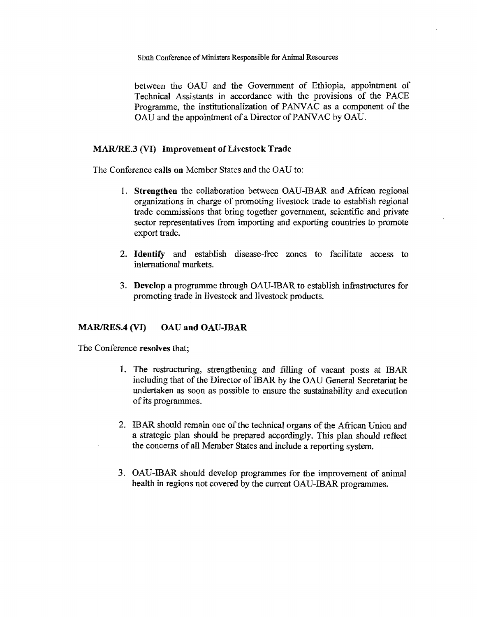between the OAU and the Government of Ethiopia, appointment of Technical Assistants in accordance with the provisions of the PACE Programme, the institutionalization of PANVAC as a component of the OAU and the appointment of a Director of PANVAC by OAU.

### **MAR/RE.3 (VI) Improvement of Livestock Trade**

The Conference **calls on** Member States and the OAU to:

- **1. Strengthen** the collaboration between OAU-IBAR and African regional organizations in charge of promoting livestock trade to establish regional trade commissions that bring together government, scientific and private sector representatives from importing and exporting countries to promote export trade.
- **2. Identify** and establish disease-free zones to facilitate access to international markets.
- **3. Develop** a programme through OAU-IBAR to establish infrastructures for promoting trade in livestock and livestock products.

### **MAR/RES.4 (VI) OAU and OAU-IBAR**

The Conference **resolves** that;

- 1. The restructuring, strengthening and filling of vacant posts at IBAR including that of the Director of IBAR by the OAU General Secretariat be undertaken as soon as possible to ensure the sustainability and execution of its programmes.
- 2. IBAR should remain one of the technical organs of the African Union and a strategic plan should be prepared accordingly. This plan should reflect the concerns of all Member States and include a reporting system.
- 3. OAU-IBAR should develop programmes for the improvement of animal health in regions not covered by the current OAU-IBAR programmes.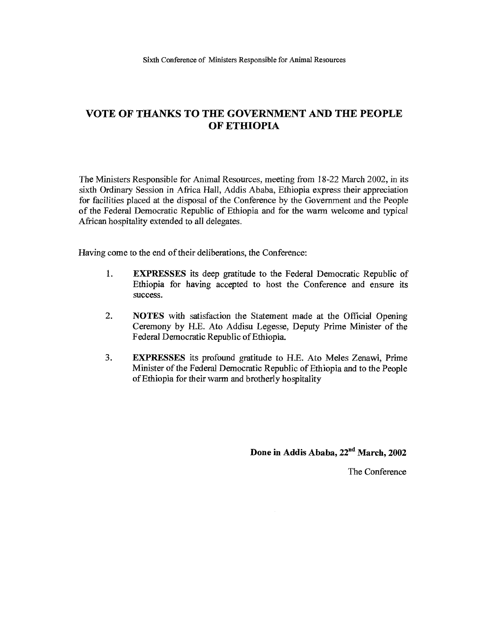### **VOTE OF THANKS TO THE GOVERNMENT AND TH1 PEOPLE OF ETHIOPIA**

The Ministers Responsible for Animal Resources, meeting from 18-22 March 2002, in its sixth Ordinary Session in Africa Hall, Addis Ababa, Ethiopia express their appreciation for facilities placed at the disposal of the Conference by the Government and the People of the Federal Democratic Republic of Ethiopia and for the warm welcome and typical African hospitality extended to all delegates.

Having come to the end of their deliberations, the Conference:

- 1. EXPRESSES its deep gratitude to the Federal Democratic Republic of Ethiopia for having accepted to host the Conference and ensure its success.
- 2. NOTES with satisfaction the Statement made at the Official Opening Ceremony by H.E. Ato Addisu Legesse, Deputy Prime Minister of the Federal Democratic Republic of Ethiopia.
- 3. EXPRESSES its profound gratitude to H.E. Ato Meles Zenawi, Prime Minister of the Federal Democratic Republic of Ethiopia and to the People of Ethiopia for their warm and brotherly hospitality

Done in Addis Ababa, 22<sup>nd</sup> March, 2002

The Conference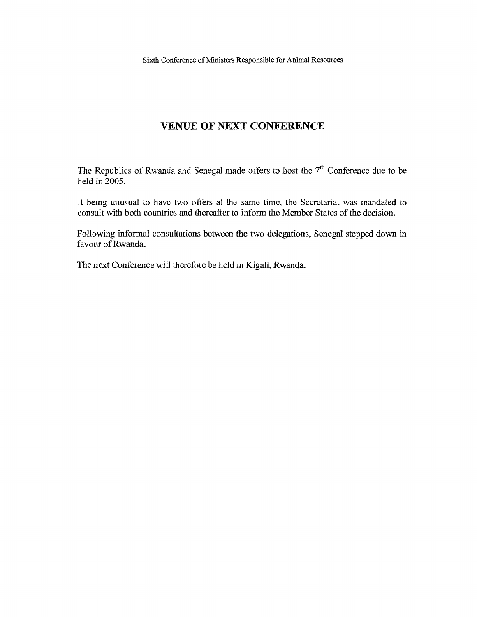$\sim 10$ 

### VENUE OF NEXT CONFERENCE

The Republics of Rwanda and Senegal made offers to host the  $7<sup>th</sup>$  Conference due to be held in 2005.

It being unusual to have two offers at the same time, the Secretariat was mandated to consult with both countries and thereafter to inform the Member States of the decision.

Following informal consultations between the two delegations, Senegal stepped down in favour of Rwanda.

The next Conference will therefore be held in Kigali, Rwanda.

 $\sim$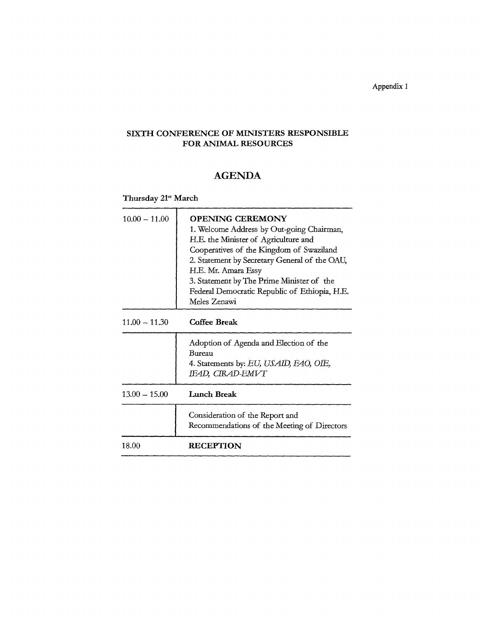Appendix 1

### SIXTH CONFERENCE OF MINISTERS RESPONSIBLE FOR ANIMAL RESOURCES

## AGENDA

Thursday 21" March

| $10.00 - 11.00$ | <b>OPENING CEREMONY</b><br>1. Welcome Address by Out-going Chairman,<br>H.E. the Minister of Agriculture and<br>Cooperatives of the Kingdom of Swaziland<br>2. Statement by Secretary General of the OAU,<br>H.E. Mr. Amara Essy<br>3. Statement by The Prime Minister of the<br>Federal Democratic Republic of Ethiopia, H.E.<br>Meles Zenawi |
|-----------------|------------------------------------------------------------------------------------------------------------------------------------------------------------------------------------------------------------------------------------------------------------------------------------------------------------------------------------------------|
| $11.00 - 11.30$ | <b>Coffee Break</b>                                                                                                                                                                                                                                                                                                                            |
|                 | Adoption of Agenda and Election of the<br>Bureau<br>4. Statements by: EU, USAID, EAO, OIE,<br>IEAD, CIRAD-EMVT                                                                                                                                                                                                                                 |
| $13.00 - 15.00$ | Lunch Break                                                                                                                                                                                                                                                                                                                                    |
|                 | Consideration of the Report and<br>Recommendations of the Meeting of Directors                                                                                                                                                                                                                                                                 |
| 18.00           | <b>RECEPTION</b>                                                                                                                                                                                                                                                                                                                               |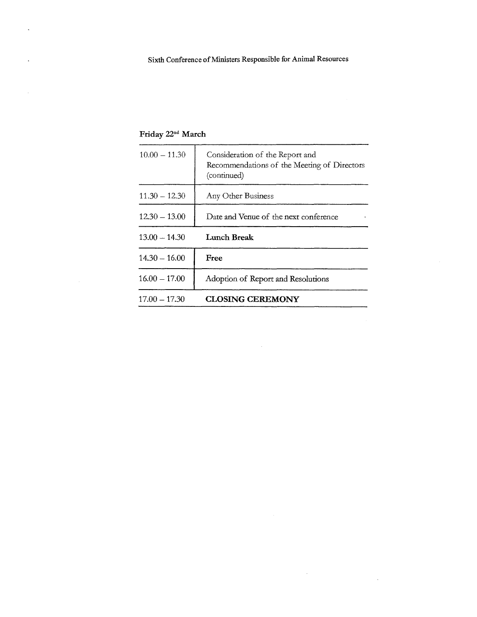| $10.00 - 11.30$ | Consideration of the Report and<br>Recommendations of the Meeting of Directors<br>(continued) |
|-----------------|-----------------------------------------------------------------------------------------------|
| $11.30 - 12.30$ | Any Other Business                                                                            |
| $12.30 - 13.00$ | Date and Venue of the next conference                                                         |
| $13.00 - 14.30$ | Lunch Break                                                                                   |
| $14.30 - 16.00$ | <b>Free</b>                                                                                   |
| $16.00 - 17.00$ | Adoption of Report and Resolutions                                                            |
| $17.00 - 17.30$ | <b>CLOSING CEREMONY</b>                                                                       |

 $\Delta \sim 1$ 

.<br>Ny INSEE dia mampiasa ny kaodim-paositra 2008–2014. Ilay kaominina dia kaominina mpikambana amin'ny fivondrona

 $\sim 10^7$ 

Friday 22<sup>nd</sup> March

 $\sim 10$ 

 $\hat{\mathcal{A}}$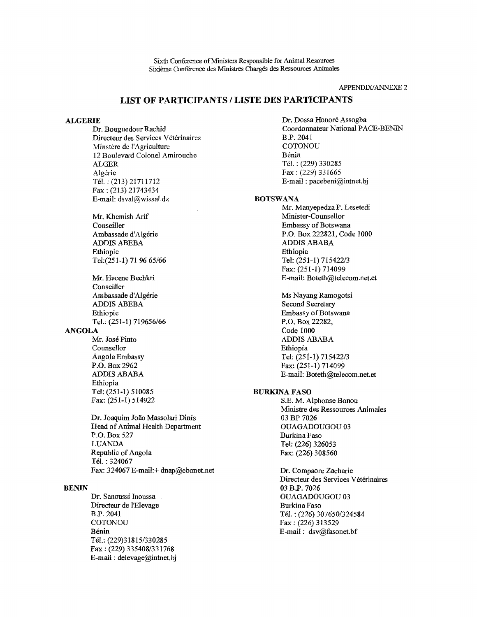Sixth Conference of Ministers Responsible for Animal Resources Sixieme Conference des Ministres Charges des Ressources Animales

APPENDIX/ANNEXE 2

### LIST OF PARTICIPANTS / LISTE DES PARTICIPANTS

#### ALGERIE

Dr. Bouguedour Rachid Directeur des Services Vétérinaires Minstère de l'Agriculture 12 Boulevard Colonel Amirouche ALGER Algérie Tel.: (213) 21711712 Fax : (213) 21743434 E-mail: dsval@wissal.dz

Mr. Khemish Arif **Conseiller** Ambassade d'Algérie ADDIS ABEBA Ethiopie Tel:(251-1) 71 96 65/66

Mr. Hacene Bechkri Conseiller Ambassade d'Algérie ADDIS ABEBA Ethiopie Tel.: (251-1) 719656/66

#### ANGOLA

Mr. Jose Pinto Counsellor Angola Embassy P.O. Box 2962 ADDIS ABABA Ethiopia Tel: (251-1) 510085 Fax: (251-1) 514922

Dr. Joaquim Joao Massolari Dinis Head of Animal Health Department P.O. Box 527 LUANDA Republic of Angola Tei. : 324067 Fax: 324067 E-mail:+ dnap@ebonet.net

#### BENIN

Dr. Sanoussi Inoussa Directeur de lElevage B.P. 2041 **COTONOU** Benin Tel.: (229)31815/330285 Fax : (229) 335408/331768 E-mail : delevage@intnet.bj Dr. Dossa Honoré Assogba Coordonnateur National PACE-BENIN B.P. 2041 **COTONOU** Benin Tel.: (229) 330285 Fax : (229) 331665 E-mail : pacebeni@intnet.bj

#### **BOTSWANA**

Mr. Manyepedza P. Lesetedi Minister-Counsellor Embassy of Botswana P.O. Box 222821, Code 1000 ADDIS ABABA Ethiopia Tel: (251-1) 715422/3 Fax: (251-1) 714099 E-mail: Boteth@telecom.net.et

Ms Nayang Ramogotsi Second Secretary Embassy of Botswana P.O. Box 22282, Code 1000 ADDIS ABABA Ethiopia Tel: (251-1) 715422/3 Fax: (251-1) 714099 E-mail: Boteth@telecom.net.et

#### BURKINA FASO

S.E. M. Alphonse Bonou Ministre des Ressources Animales 03 BP 7026 OUAGADOUGOU 03 Burkina Faso Tel: (226) 326053 Fax: (226) 308560

Dr. Compaore Zacharie Directeur des Services Vétérinaires 03 B.P. 7026 OUAGADOUGOU 03 Burkina Faso Tel.: (226) 307650/324584 Fax : (226) 313529 E-mail: dsv@fasonet.bf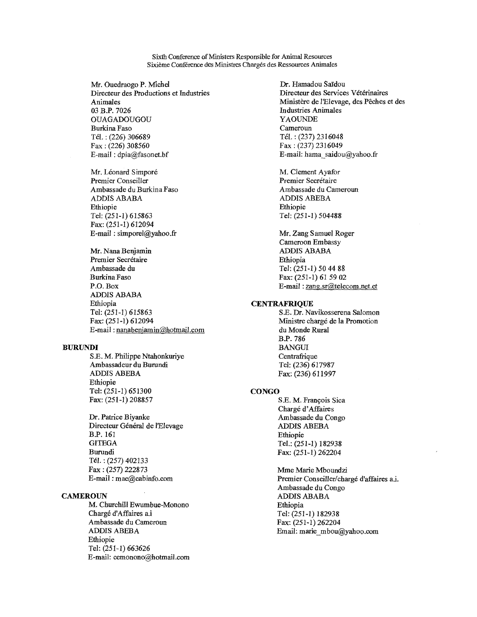Sixth Conference of Ministers Responsible for Animal Resources Sixième Conférence des Ministres Chargés des Ressources Animales

Mr. Ouedraogo P. Michel Directeur des Productions et Industries Animales 03 B.P. 7026 OUAGADOUGOU Burkina Faso Tel.: (226) 306689 Fax : (226) 308560 E-mail : dpia@fasonet.bf

Mr. Léonard Simporé Premier Conseiller Ambassade du Burkina Faso ADDIS ABABA Ethiopie Tel: (251-1) 615863 Fax: (251-1) 612094 E-mail:  $simporel$  ayahoo.fr

Mr. Nana Benjamin Premier Secrétaire Ambassade du Burkina Faso P.O. Box ADDIS ABABA Ethiopia Tel: (251-1) 615863 Fax: (251-1) 612094 E-mail: nanabenjamin@hotmail.com

#### BURUNDI

S.E. M. Philippe Ntahonkuriye Ambassadeur du Burundi ADDIS ABEBA Ethiopie Tel: (251-1) 651300 Fax: (251-1) 208857

Dr. Patrice Biyanke Directeur Général de l'Elevage B.P. 161 **GITEGA** Burundi Tel.: (257) 402133 Fax : (257) 222873 E-mail : mae@cabinfo.com

#### **CAMEROUN**

M. Churchill Ewumbue-Monono Charge d'Affaires a.i Ambassade du Cameroun ADDIS ABEBA Ethiopie Tel: (251-1) 663626 E-mail: cemonono@hotmail.com

Dr. Hamadou Saïdou Directeur des Services Vétérinaires Ministere de l'Elevage, des Peches et des Industries Animales YAOUNDE Cameroun Tel.: (237) 2316048 Fax : (237) 2316049 E-mail: hama saidou@yahoo.fr

M. Clement Ayafor Premier Secrétaire Ambassade du Cameroun ADDIS ABEBA Ethiopie Tel: (251-1) 504488

Mr. Zang Samuel Roger Cameroon Embassy ADDIS ABABA Ethiopia Tel: (251-1) 50 44 88 Fax: (251-1) 61 59 02 E-mail : zang.sr@telecom.net.et

#### **CENTRAFRIQUE**

S.E. Dr. Navikosserena Salomon Ministre chargé de la Promotion du Monde Rural B.P. 786 BANGUI **Centrafrique** Tel: (236) 617987 Fax: (236) 611997

#### **CONGO**

SE. M. Francois Sica Chargé d'Affaires Ambassade du Congo ADDIS ABEBA Ethiopie Tel.: (251-1) 182938 Fax: (251-1) 262204

Mme Marie Mboundzi Premier Conseiller/chargé d'affaires a.i. Ambassade du Congo ADDIS ABABA Ethiopia Tel: (251-1) 182938 Fax: (251-1) 262204 Email: marie\_mbou@yahoo.com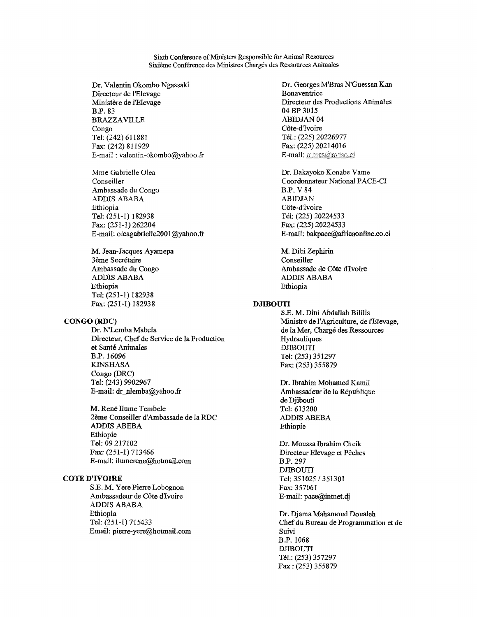Sixth Conference of Ministers Responsible for Animal Resources Sixième Conférence des Ministres Chargés des Ressources Animales

Dr. Valentin Okombo Ngassaki Directeur de l'Elevage Ministère de l'Elevage B.P. 83 BRAZZAVILLE Congo Tel: (242) 611881 Fax: (242) 811929 E-mail : valentin-okombo@yahoo.fr

Mme Gabrielle Olea Conseiller Ambassade du Congo ADDIS ABABA Ethiopia Tel: (251-1) 182938 Fax: (251-1) 262204 E-mail: oleagabrielle2001@yahoo.fr

M. Jean-Jacques Ayamepa 3ème Secrétaire Ambassade du Congo ADDIS ABABA Ethiopia Tel: (251-1) 182938 Fax: (251-1) 182938

#### CONGO (RDC)

Dr. N'Lemba Mabela Directeur, Chef de Service de la Production et Santé Animales B.P. 16096 KINSHASA Congo (DRC) Tel: (243) 9902967 E-mail: dr nlemba@yahoo.fr

M. René Ilume Tembele 2eme Conseiller d'Ambassade de la RDC ADDIS ABEBA Ethiopie Tel: 09 217102 Fax: (251-1) 713466 E-mail: ilumerene@hotmail.com

#### COTE D'IVOIRE

S.E. M. Yere Pierre Lobognon Ambassadeur de Côte d'Ivoire ADDIS ABABA Ethiopia Tel: (251-1) 715433 Email: pierre-yere@hotmail.com Dr. Georges M'Bras N'Guessan Kan Bonaventrice Directeur des Productions Animales 04 BP 3015 ABIDJAN 04 Côte-d'Ivoire Tel.: (225) 20226977 Fax: (225) 20214016 E-mail: mbras@aviso.ci

Dr. Bakayoko Konabe Vame Coordonnateur National PACE-CI B.P. V 84 ABIDJAN Côte-d'Ivoire Tel: (225) 20224533 Fax: (225) 20224533 E-mail: bakpace@africaonline.co.ci

M. Dibi Zephirin Conseiller Ambassade de Cote dIvoire ADDIS ABABA Ethiopia

#### DJIBOUTI

S.E. M. Dini Abdallah Bililis Ministre de l'Agriculture, de l'Elevage, de la Mer, Chargé des Ressources Hydrauliques DJIBOUTI Tel: (253) 351297 Fax: (253) 355879

Dr. Ibrahim Mohamed Kamil Ambassadeur de la Republique de Djibouti Tel: 613200 ADDIS ABEBA Ethiopie

Dr. Moussa Ibrahim Cheik Directeur Elevage et Peches B.P. 297 DJIBOUTI Tel: 351025 / 351301 Fax: 357061 E-mail: pace@intnet.dj

Dr. Djama Mahamoud Doualeh Chef du Bureau de Programmation et de Suivi B.P. 1068 DJIBOUTI Tel.: (253) 357297 Fax : (253) 355879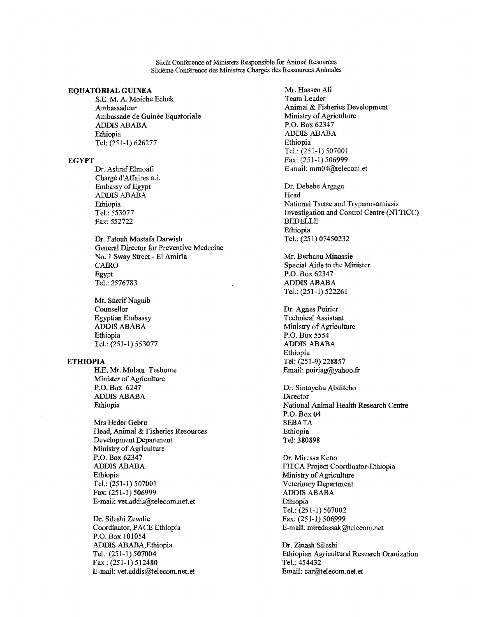Sixth Conference of Ministers Responsible for Animal Resources Sixieme Conference des Ministres Charges des Ressources Animales

#### EQUATORIAL GUINEA

S.E. M. A. Moiche Echek Ambassadeur Ambassade de Guinée Equatoriale ADDIS ABABA Ethiopia Tel: (251-1) 626277

#### EGYPT

Dr. Ashraf Elmoafi Chargé d'Affaires a.i. Embassy of Egypt ADDIS ABABA Ethiopia Tel.: 553077 Fax: 552722

Dr. Fatouh Mostafa Darwish General Director for Preventive Medecine No. 1 Sway Street - El Amiria CAIRO Egypt Tel.: 2576783

Mr. Sherif Naguib Counsellor Egyptian Embassy ADDIS ABABA Ethiopia Tel.: (251-1) 553077

#### **ETHIOPIA**

H.E. Mr. Mulatu Teshome Minister of Agriculture P.O. Box 6247 ADDIS ABABA Ethiopia

Mrs Heder Gebru Head, Animal & Fisheries Resources Development Department Ministry of Agriculture P.O. Box 62347 ADDIS ABABA Ethiopia Tel.: (251-1) 507001 Fax: (251-1) 506999 E-mail: vet.addis@telecom.net.et

Dr. Sileshi Zewdie Coordinator, PACE Ethiopia P.O. Box 101054 ADDIS ABABA,Ethiopia Tel.: (251-1) 507004 Fax : (251-1) 512480 E-mail: vet.addis@telecom.net.et

Mr. Hassen Ali Team Leader Animal & Fisheries Development Ministry of Agriculture P.O. Box 62347 ADDIS ABABA Ethiopia Tel.: (251-1) 507001 Fax: (251-1) 506999 E-mail: mm04@telecom.et

Dr. Debebe Argago Head National Tsetse and Trypanosomiasis Investigation and Control Centre (NTTICC) BEDELLE Ethiopia Tel.: (251) 07450232

Mr. Berhanu Minassie Special Aide to the Minister P.O. Box 62347 ADDIS ABABA Tel.: (251-1) 522261

Dr. Agnes Poirier Technical Assistant Ministry of Agriculture P.O. Box 5554 ADDIS ABABA Ethiopia Tel: (251-9) 228857 Email: poiriag@yahoo.fr

Dr. Sintayehu Abditcho Director National Animal Health Research Centre P.O. Box 04 SEBATA Ethiopia Tel: 380898

Dr. Miressa Keno FITCA Project Coordinator-Ethiopia Ministry of Agriculture Veterinary Department ADDIS ABABA Ethiopia Tel.: (251-1) 507002 Fax: (251-1) 506999 E-mail: miredassak@telecom.net

Dr. Zinash Sileshi Ethiopian Agricultural Research Oranization Tel.: 454432 Email: car@telecom.net.et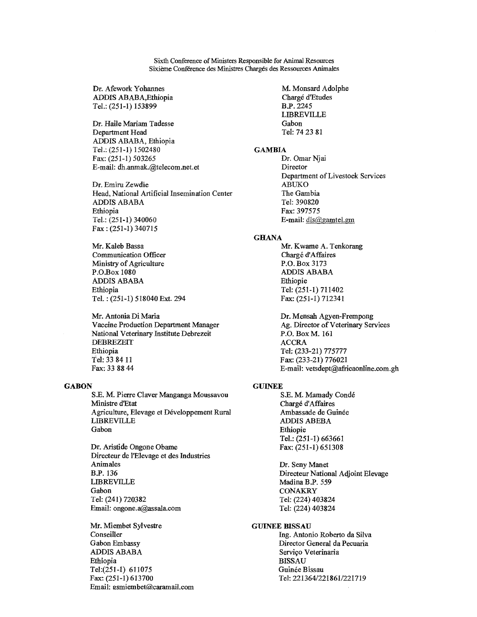Sixth Conference of Ministers Responsible for Animal Resources Sixième Conférence des Ministres Chargés des Ressources Animales

Dr. Afework Yohannes ADDIS ABABA,Ethiopia Tel.: (251-1) 153899

Dr. Haile Mariam Tadesse Department Head ADDIS ABABA, Ethiopia Tel.: (251-1) 1502480 Fax: (251-1) 503265 E-mail: dh.anmak.@telecom.net.et

Dr. Emiru Zewdie Head, National Artificial Insemination Center ADDIS ABABA Ethiopia Tel.: (251-1) 340060 Fax : (251-1) 340715

Mr. Kaleb Bassa Communication Officer Ministry of Agriculture P.O.Box 1080 ADDIS ABABA Ethiopia Tel. : (251-1) 518040 Ext. 294

Mr. Antonia Di Maria Vaccine Production Department Manager National Veterinary Institute Debrezeit DEBREZEIT Ethiopia Tel: 33 84 11 Fax: 33 88 44

#### **GABON**

S.E. M. Pierre Claver Manganga Moussavou Ministre d'Etat Agriculture, Elevage et Développement Rural LIBREVILLE Gabon

Dr. Aristide Ongone Obame Directeur de l'Elevage et des Industries Animales B.P. 136 LIBREVILLE Gabon Tel: (241) 720382 Email: ongone.a@assala.com

Mr. Miembet Sylvestre Conseiller Gabon Embassy ADDIS ABABA Ethiopia Tel:(251-I) 611075 Fax: (251-1) 613700 Email: esmiembet@caramail.com M. Monsard Adolphe Chargé d'Etudes B.P. 2245 LIBREVILLE Gabon Tel: 74 23 81

#### **GAMBIA**

Dr. Omar Njai Director Department of Livestock Services ABUKO The Gambia Tel: 390820 Fax: 397575 E-mail: dls@gamtel.gm

#### **GHANA**

Mr. Kwame A. Tenkorang Chargé d'Affaires P.O. Box 3173 ADDIS ABABA Ethiopie Tel: (251-1) 711402 Fax: (251-1) 712341

Dr. Mensah Agyen-Frempong Ag. Director of Veterinary Services P.O. Box M. 161 ACCRA Tel: (233-21) 775777 Fax: (233-21) 776021 E-mail: vetsdept@africaonline.com.gh

#### GUINEE

S.E. M. Mamady Conde Chargé d'Affaires Ambassade de Guinée ADDIS ABEBA Ethiopie Tel.: (251-1) 663661 Fax: (251-1) 651308

Dr. Seny Manet Directeur National Adjoint Elevage Madina B.F. 559 **CONAKRY** Tel: (224) 403824 Tel: (224) 403824

#### GUINEE BISSAU

Ing. Antonio Roberto da Silva Director General da Pecuaria Servico Veterinaria BISSAU Guinée Bissau Tel: 221364/221861/221719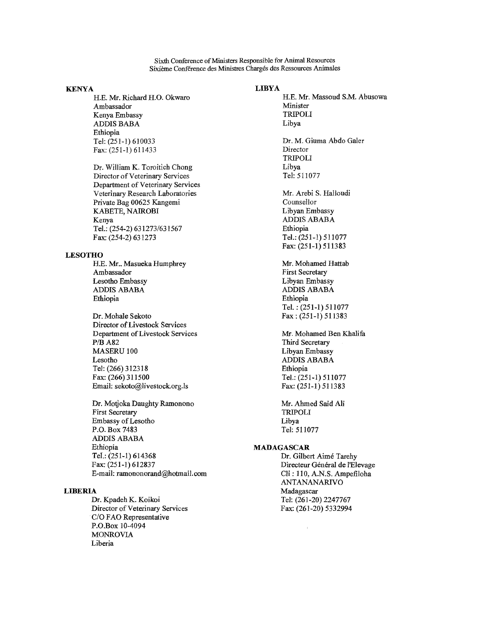Sixth Conference of Ministers Responsible for Animal Resources Sixieme Conference des Ministres Charges des Ressources Animates

#### KENYA

H.E. Mr. Richard H.O. Okwaro Ambassador Kenya Embassy ADDIS BABA Ethiopia Tel: (251-1) 610033 Fax: (251-1) 611433

Dr. William K. Toroitich Chong Director of Veterinary Services Department of Veterinary Services Veterinary Research Laboratories Private Bag 00625 Kangemi KABETE, NAIROBI Kenya Tel.: (254-2) 631273/631567 Fax: (254-2) 631273

#### **LESOTHO**

H.E. Mr.. Masueka Humphrey Ambassador Lesotho Embassy ADDIS ABABA Ethiopia

Dr. Mohale Sekoto Director of Livestock Services Department of Livestock Services P/B A82 MASERU 100 Lesotho Tel: (266) 312318 Fax: (266) 311500 Email: sekoto@livestock.org.ls

Dr. Motjoka Daughty Ramonono First Secretary Embassy of Lesotho P.O. Box 7483 ADDIS ABABA Ethiopia Tel.: (251-1) 614368 Fax: (251-1) 612837 E-mail: ramononorand@hotmail.com

### LIBERIA

Dr. Kpadeh K. Koikoi Director of Veterinary Services C/O FAO Representative P.O.Box 10-4094 MONROVIA Liberia

#### LIBYA

H.E. Mr. Massoud S.M. Abusowa Minister TRIPOLI Libya Dr. M. Giuma Abdo Galer Director TRIPOLI Libya Tel: 511077

Mr. Arebi S. Halloudi Counsellor Libyan Embassy ADDIS ABABA Ethiopia Tel.: (251-1) 511077 Fax: (251-1) 511383

Mr. Mohamed Hattab First Secretary Libyan Embassy ADDIS ABABA Ethiopia Tel. : (251-1) 511077 Fax : (251-1) 511383

Mr. Mohamed Ben Khalifa Third Secretary Libyan Embassy ADDIS ABABA Ethiopia Tel.: (251-1) 511077 Fax: (251-1) 511383

Mr. Ahmed Said Ali TRIPOLI Libya Tel: 511077

 $\cdot$ 

#### MADAGASCAR

Dr. Gilbert Aime Tarehy Directeur Général de l'Elevage Cii : 110, A.N.S. Ampefiloha ANTANANARIVO Madagascar Tel: (261-20) 2247767 Fax: (261-20) 5332994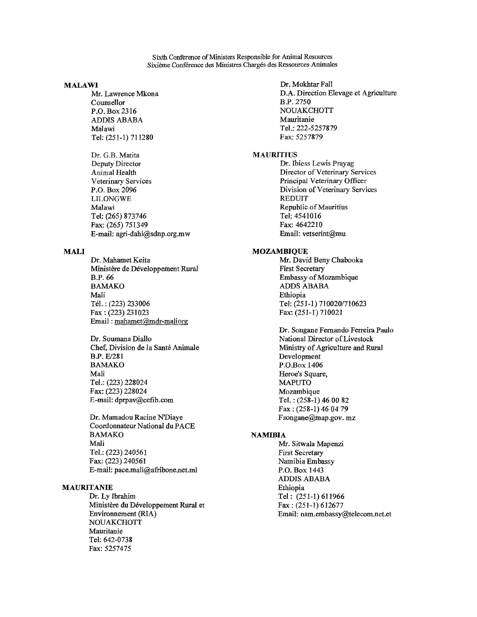Sixth Conference of Ministers Responsible for Animal Resources Sixième Conférence des Ministres Chargés des Ressources Animales

#### MALAWI

Mr. Lawrence Mkona Counsellor P.O. Box 2316 ADDIS ABABA Malawi Tel: (251-1) 711280

Dr. G.B. Matita Deputy Director Animal Health Veterinary Services P.O. Box 2096 LILONGWE Malawi Tel: (265) 873746 Fax: (265) 751349 E-mail: agri-dahi@sdnp.org.mw

#### MALI

Dr. Mahamet Keita Ministère de Développement Rural B.P. 66 BAMAKO Mali Tel.: (223) 233006 Fax : (223) 231023 Email: mahamet@mdr-maliorg

Dr. Soumana Diallo Chef, Division de la Santé Animale B.P. E/281 BAMAKO Mali Tel.: (223) 228024 Fax: (223) 228024 E-mail: dprpav@cefib.com

Dr. Mamadou Racine N'Diaye Coordonnateur National du PACE BAMAKO Mali Tel.: (223) 240561 Fax: (223) 240561 E-mail: pace.mali@afribone.net.ml

#### MAURITANIE

Dr. Ly Ibrahim Ministère du Développement Rural et Environnement (RIA) NOUAKCHOTT Mauritanie Tel: 642-0738 Fax: 5257475

Dr. Mokhtar Fall D.A. Direction Elevage et Agriculture B.P. 2750 NOUAKCHOTT Mauritanie Tel.: 222-5257879 Fax: 5257879

#### MAURITIUS

Dr. Ibiess Lewis Prayag Director of Veterinary Services Principal Veterinary Officer Division of Veterinary Services REDUIT Republic of Mauritius Tel: 4541016 Fax: 4642210 Email: vetserint@mu

### MOZAMBIQUE

Mr. David Beny Chabooka First Secretary Embassy of Mozambique ADDS ABABA Ethiopia Tel: (251-1) 710020/710623 Fax: (251-1) 710021

Dr. Songane Fernando Ferreira Paulo National Director of Livestock Ministry of Agriculture and Rural Development P.O.Box 1406 Heroe's Square, MAPUTO Mozambique Tel. : (258-1) 46 00 82 Fax : (258-1) 46 04 79 Fsongane@map.gov. mz

#### **NAMIBIA**

Mr. Sitwala Mapenzi First Secretary Namibia Embassy P.O. Box 1443 ADDIS ABABA Ethiopia Tel : (251-1) 611966 Fax : (251-1) 612677 Email: nam.embassy@telecom.net.et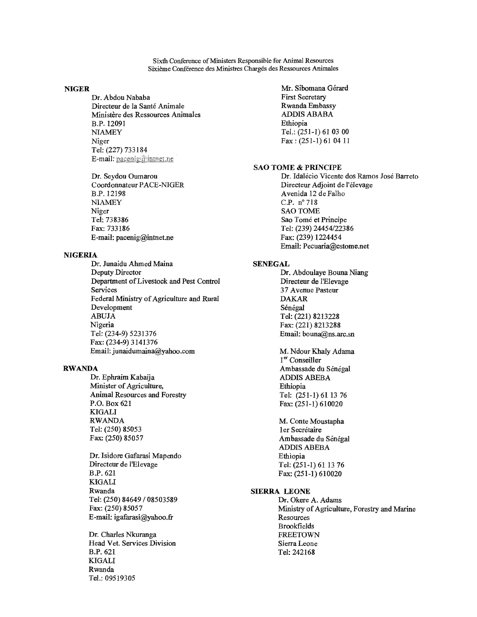Sixth Conference of Ministers Responsible for Animal Resources Sixième Conférence des Ministres Chargés des Ressources Animales

#### NIGER

Dr. Abdou Nababa Directeur de la Sante Animale Ministere des Ressources Animales B.P. 12091 NIAMEY Niger Tel: (227) 733184 E-mail:  $paceing@inner$ 

Dr. Seydou Oumarou Coordonnateur PACE-NIGER B.P. 12198 NIAMEY Niger Tel: **738386 Fax: 733186 E-mail: pacenig@intnet.ne** 

#### **NIGERIA**

**Dr. Junaidu Ahmed Maina Deputy Director Department of Livestock and Pest Control Services Federal Ministry of Agriculture and Rural Development ABUJA Nigeria Tel: (234-9) 5231376 Fax: (234-9) 3141376 Email:** junaidumaina@yahoo.com

#### **RWANDA**

**Dr. Ephraim Kabaija Minister of Agriculture, Animal Resources and Forestry P.O. Box 621 KIGALI RWANDA Tel: (250) 85053 Fax: (250) 85057** 

**Dr. Isidore Gafarasi Mapendo Directeur de 1'Elevage B.P. 621 KIGALI Rwanda Tel: (250) 84649 / 08503589 Fax: (250) 85057 E-mail: igafarasi@yahoo.fr** 

**Dr. Charles Nkuranga Head Vet. Services Division B.P. 621 KIGALI Rwanda Tel.: 09519305** 

Mr. Sibomana Gérard First Secretary Rwanda Embassy ADDIS ABABA Ethiopia Tel.: (251-1) 61 03 00 Fax : (251-1) 61 04 11

#### **SAO TOME & PRINCIPE**

Dr. Idalecio Vicente dos Ramos Jose Barreto Directeur Adjoint de l'élevage Avenida 12 de Falho C.P. n°718 SAO TOME Sao Tomé et Principe Tel: (239) 24454/22386 Fax: (239) 1224454 Email: Pecuaria@cstome.net

#### **SENEGAL**

**Dr. Abdoulaye Bouna Niang Directeur de** l'Elevage 37 Avenue Pasteur DAKAR Sénégal Tel: (221) 8213228 Fax: (221) 8213288 Email: bouna@ns.arc.sn

M. Ndour Khaly Adama 1<sup>er</sup> Conseiller Ambassade du Sénégal ADDIS ABEBA Ethiopia Tel: (251-1) 61 13 76 Fax: (251-1) 610020

M. Conte Moustapha ler Secrétaire Ambassade du Sénégal ADDIS ABEBA Ethiopia Tel: (251-1) 61 13 76 Fax: (251-1) 610020

#### **SIERRA LEONE**

**Dr.** Okere A. Adams Ministry of Agriculture, Forestry and Marine **Resources** Brookfields FREETOWN Sierra Leone Tel: 242168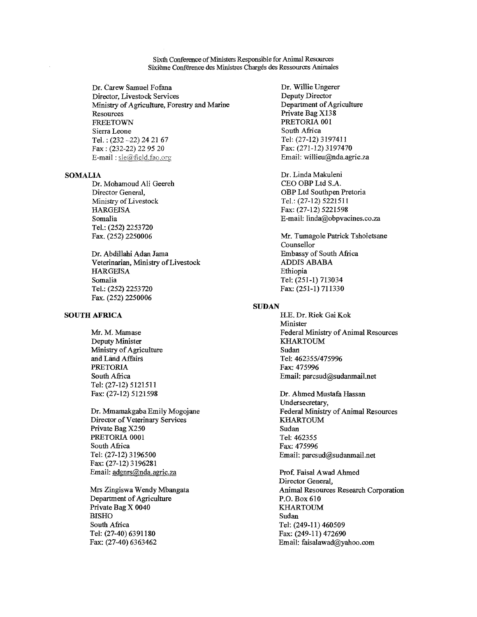Sixth Conference of Ministers Responsible for Animal Resources Sixieme Conference des Ministres Charges des Ressources Animales

Dr. Carew Samuel Fofana Director, Livestock Services Ministry of Agriculture, Forestry and Marine **Resources** FREETOWN Sierra Leone Tel. : (232 —22) 24 21 67 Fax : (232-22) 22 95 20 E-mail: sle@field.fao.org

#### SOMALIA

Dr. Mohamoud Ali Geereh Director General, Ministry of Livestock HARGEISA Somalia Tel.: (252) 2253720 Fax. (252) 2250006

Dr. Abdillahi Adan Jama Veterinarian, Ministry of Livestock **HARGEISA** Somalia Tel.: (252) 2253720 Fax. (252) 2250006

#### SOUTH AFRICA

Mr. M. Mamase Deputy Minister Ministry of Agriculture and Land Affairs PRETORIA South Africa Tel: (27-12) 5121511 Fax: (27-12) 5121598

Dr. Mmamakgaba Emily Mogojane Director of Veterinary Services Private Bag X250 PRETORIA 0001 South Africa Tel: (27-12) 3196500 Fax: (27-12) 3196281 Email: adgnrs@nda.agric.za

Mrs Zingiswa Wendy Mbangata Department of Agriculture Private Bag X 0040 BISHO South Africa Tel: (27-40) 6391180 Fax: (27-40) 6363462

Dr. Willie Ungerer Deputy Director Department of Agriculture Private Bag X138 PRETORIA 001 South Africa Tel: (27-12) 3197411 Fax: (271-12) 3197470 Email: willieu@nda.agric.za

Dr. Linda Makuleni CEO OBP Ltd S.A. OBP Ltd Southpen Pretoria Tel.: (27-12) 5221511 Fax: (27-12) 5221598 E-mail: linda@obpvacines.co.za

Mr. Tumagole Patrick Tsholetsane Counsellor Embassy of South Africa ADDIS ABABA Ethiopia Tel: (251-1) 713034 Fax: (251-1) 711330

#### SUDAN

H.E. Dr. Riek Gai Kok Minister Federal Ministry of Animal Resources KHARTOUM Sudan Tel: 462355/475996 Fax: 475996 Email: paresud@sudanmail.net

Dr. Ahmed Mustafa Hassan Undersecretary, Federal Ministry of Animal Resources KHARTOUM Sudan Tel: 462355 Fax: 475996 Email: parcsud@sudanmail.net

Prof. Faisal Awad Ahmed Director General, Animal Resources Research Corporation P.O. Box 610 KHARTOUM Sudan Tel: (249-11) 460509 Fax: (249-11) 472690 Email: faisalawad@yahoo.com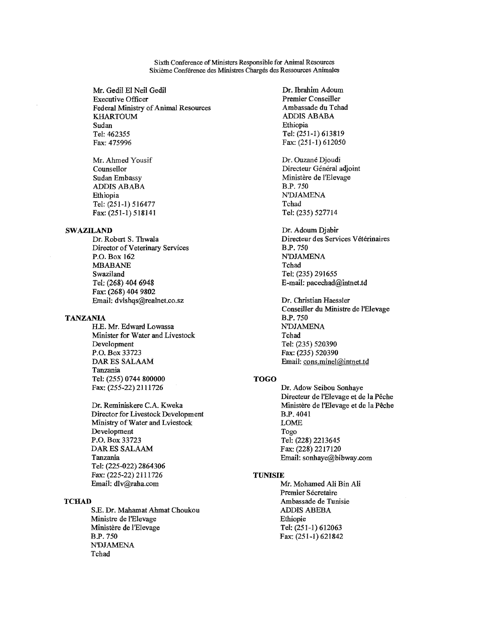Sixth Conference of Ministers Responsible for Animal Resources Sixième Conférence des Ministres Chargés des Ressources Animales

Mr. Gedil El Neil Gedil Executive Officer Federal Ministry of Animal Resources KHARTOUM Sudan Tel: 462355 Fax: 475996

Mr. Ahmed Yousif Counsellor Sudan Embassy ADDIS ABABA Ethiopia Tel: (251-1) 516477 Fax: (251-1) 518141

#### SWAZILAND

Dr. Robert S. Thwala Director of Veterinary Services P.O. Box 162 MBABANE Swaziland Tel: (268) 404 6948 Fax: (268) 404 9802 Email: dvlshqs@realnet.co.sz

#### TANZANIA

H.E. Mr. Edward Lowassa Minister for Water and Livestock Development P.O. Box 33723 DAR ES SALAAM Tanzania Tel: (255) 0744 800000 Fax: (255-22) 2111726

Dr. Reminiskere C.A. Kweka Director for Livestock Development Ministry of Water and Lviestock Development P.O. Box 33723 DAR ES SALAAM Tanzania Tel: (225-022) 2864306 Fax: (225-22) 2111726 Email: dlv@raha.com

#### **TCHAD**

S.E. Dr. Mahamat Ahmat Choukou Ministre de l'Elevage Ministère de l'Elevage B.F. 750 N'DJAMENA Tchad

Dr. Ibrahim Adoum Premier Conseiller Ambassade du Tchad ADDIS ABABA Ethiopia Tel: (251-1) 613819 Fax: (251-1) 612050

Dr. Ouzané Djoudi Directeur Général adjoint Ministère de l'Elevage B.P. 750 **N'DJAMENA** Tchad Tel: (235) 527714

Dr. Adoum Djabir Directeur des Services Vétérinaires B.F. 750 NDJAMENA Tchad Tel: (235) 291655 E-mail: pacechad@intnet.td

Dr. Christian Haessler Conseiller du Ministre de l'Elevage B.F. 750 NDJAMENA Tchad Tel: (235) 520390 Fax: (235) 520390 Email: cons.minel@intnet.td

#### TOGO

Dr. Adow Seibou Sonhaye Directeur de l'Elevage et de la Pêche Ministère de l'Elevage et de la Pêche B.P. 4041 LOME Togo Tel: (228) 2213645 Fax: (228) 2217120 Email: sonhaye@bibway.com

#### TUNISIE

Mr. Mohamed Ali Bin Ali Premier Sécretaire Ambassade de Tunisie ADDIS ABEBA Ethiopie Tel: (251-1) 612063 Fax: (251-1) 621842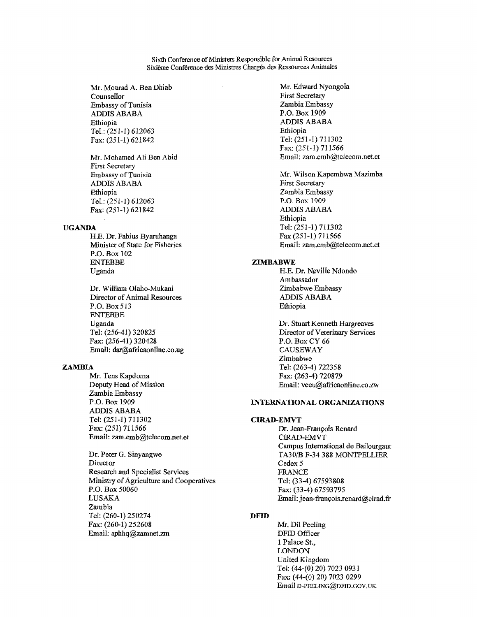Sixth Conference of Ministers Responsible for Animal Resources Sixieme Conference des Ministres Charges des Ressources Animales

Mr. Mourad A. Ben Dhiab Counsellor Embassy of Tunisia ADDIS ABABA Ethiopia Tel.: (251-1) 612063 Fax: (251-1) 621842

Mr. Mohamed Ali Ben Abid First Secretary Embassy of Tunisia ADDIS ABABA Ethiopia Tel.: (251-1) 612063 Fax: (251-1) 621842

#### UGANDA

H.E. Dr. Fabius Byaruhanga Minister of State for Fisheries P.O. Box 102 ENTEBBE Uganda

Dr. William Olaho-Mukani Director of Animal Resources P.O. Box 513 ENTEBBE Uganda Tel: (256-41) 320825 Fax: (256-41) 320428 Email: dar@africaonline.co.ug

#### ZAMBIA

Mr. Tens Kapdoma Deputy Head of Mission Zambia Embassy P.O. Box 1909 ADDIS ABABA Tel: (251-1) 711302 Fax: (251) 711566 Email: zam.emb@telecom.net.et

Dr. Peter G. Sinyangwe Director Research and Specialist Services Ministry of Agriculture and Cooperatives P.O. Box 50060 LUSAKA Zambia Tel: (260-1) 250274 Fax: (260-1) 252608 Email: aphhq@zamnet.zm

Mr. Edward Nyongola First Secretary Zambia Embassy P.O. Box 1909 ADDIS ABABA Ethiopia Tel: (251-1) 711302 Fax: (251-1) 711566 Email: zam.emb@telecom.net.et

Mr. Wilson Kapembwa Mazimba First Secretary Zambia Embassy P.O. Box 1909 ADDIS ABABA Ethiopia Tel: (251-1) 711302 Fax (251-1) 711566 Email: zam.emb@telecom.net.et

#### ZIMBABWE

H.E. Dr. Neville Ndondo Ambassador Zimbabwe Embassy ADDIS ABABA Ethiopia

Dr. Stuart Kenneth Hargreaves Director of Veterinary Services P.O. Box CY 66 CAUSEWAY Zimbabwe Tel: (263-4) 722358 Fax: (263-4) 720879 Email: veeu@africaonline.co.zw

#### INTERNATIONAL ORGANIZATIONS

#### CIRAD-EMVT

Dr. Jean-Francois Renard CIRAD-EMVT Campus International de Bailourgaut TA30/B F-34 388 MONTPELLIER Cedex 5 FRANCE Tel: (33-4) 67593808 Fax: (33-4) 67593795 Email: jean-françois.renard@cirad.fr

### DFID

Mr. Dil Peeling DFID Officer 1 Palace St., LONDON United Kingdom Tel: (44-(0) 20) 7023 0931 Fax: (44-(0) 20) 7023 0299 Email D-PEELING@DFID.GOV.UK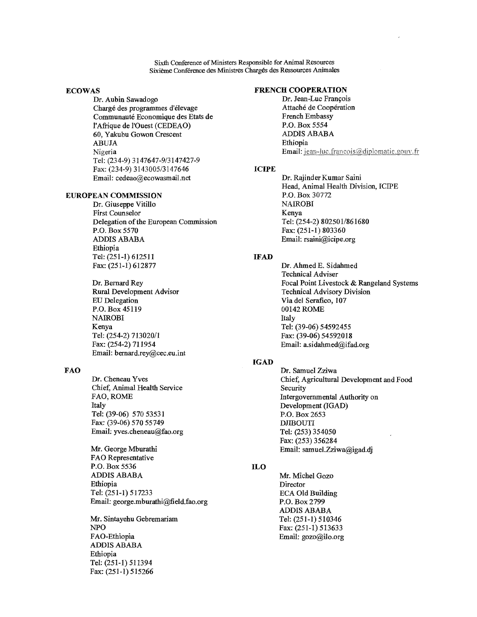Sixth Conference of Ministers Responsible for Animal Resources Sixieme Conference des Ministres Charges des Ressources Animales

#### ECOWAS

Dr. Aubin Sawadogo Chargé des programmes d'elevage Communaute Economique des Etats de l'Afrique de l'Ouest (CEDEAO) 60, Yakubu Gowon Crescent ABUJA Nigeria Tel: (234-9) 3147647-9/3147427-9 Fax: (234-9) 3143005/3147646 Email: cedeao@ecowasmail.net

#### EUROPEAN COMMISSION

Dr. Giuseppe Vitillo First Counselor Delegation of the European Commission P.O. Box 5570 ADDIS ABABA Ethiopia Tel: (251-1) 612511 Fax: (251-1) 612877

Dr. Bernard Rey Rural Development Advisor EU Delegation P.O. Box 45119 NAIROBI Kenya Tel: (254-2) 713020/1 Fax: (254-2) 711954 Email: bemard.rey@cec.eu.int

#### FAO

Dr. Cheneau Yves Chief, Animal Health Service FAO, ROME Italy Tel: (39-06) 570 53531 Fax: (39-06) 570 55749 Email: yves.cheneau@fao.org

Mr. George Mburathi FAO Representative P.O. Box 5536 ADDIS ABABA Ethiopia Tel: (251-1) 517233 Email: george.mburathi@field.fao.org

Mr. Sintayehu Gebremariam NPO FAO-Ethiopia ADDIS ABABA Ethiopia Tel: (251-1) 511394 Fax: (251-1) 515266

#### FRENCH COOPERATION

Dr. Jean-Luc Francois Attaché de Coopération French Embassy P.O. Box 5554 ADDIS ABABA Ethiopia Email: jean-luc.francois@diplomatie.gouv.fr

#### ICIPE

Dr. Rajinder Kumar Saini Head, Animal Health Division, ICIPE P.O. Box 30772 NAIROBI Kenya Tel: (254-2) 802501/861680 Fax: (251-1) 803360 Email: rsaini@icipe.org

#### IFAD

Dr. Ahmed E. Sidahmed Technical Adviser Focal Point Livestock & Rangeland Systems Technical Advisory Division Via del Serafico, 107 00142 ROME Italy Tel: (39-06) 54592455 Fax: (39-06) 54592018 Email: a.sidahmed@ifad.org

### IGAD

Dr. Samuel Zziwa Chief, Agricultural Development and Food Security Intergovernmental Authority on Development (IGAD) P.O. Box 2653 DJIBOUTI Tel: (253) 354050 Fax: (253) 356284 Email: samuel.Zziwa@igad.dj

#### ILO

Mr. Michel Gozo Director ECA Old Building P.O. Box 2799 ADDIS ABABA Tel: (251-1) 510346 Fax: (251-1) 513633 Email: gozo@ilo.org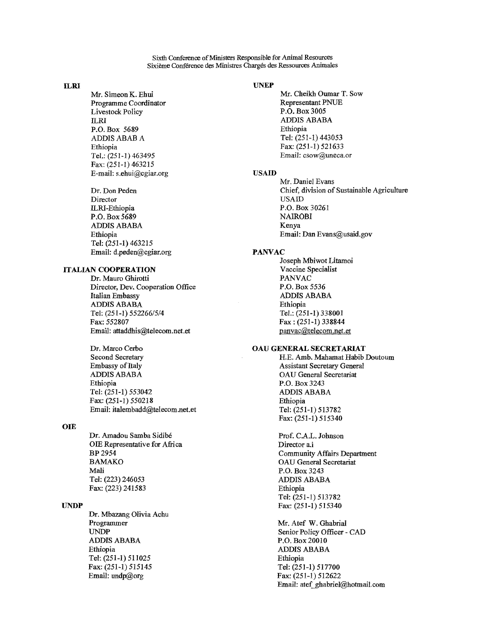Sixth Conference of Ministers Responsible for Animal Resources Sixième Conférence des Ministres Chargés des Ressources Animales

Mr. Simeon K. Ehui Programme Coordinator Livestock Policy ILRI P.O. Box 5689 ADDIS ABAB A Ethiopia Tel.: (251-1) 463495 Fax: (251-1) 463215 E-mail: s.ehui@cgiar.org USAID

Dr. Don Peden Director ILRI-Ethiopia P.O. Box 5689 ADDIS ABABA Ethiopia Tel: (251-1) 463215 Email: d.peden@cgiar.org

### ITALIAN COOPERATION

Dr. Mauro Ghirotti Director, Dev. Cooperation Office Italian Embassy ADDIS ABABA Tel: (251-1) 552266/5/4 Fax: 552807 Email: attaddhis@telecom.net.et

Dr. Marco Cerbo Second Secretary Embassy of Italy ADDIS ABABA Ethiopia Tel: (251-1) 553042 Fax: (251-1) 550218 Email: italembadd@telecom.net.et

#### **OIE**

Dr. Amadou Samba Sidibe Prof. C.A.L. Johnson OIE Representative for Africa Director a.i BAMAKO OAU General Secretariat Mali P.O. Box 3243 Tel: (223) 246053 ADDIS ABABA Fax: (223) 241583 Ethiopia

Dr. Mbazang Olivia Achu Programmer Mr. Atef W. Ghabrial<br>
UNDP Senior Policy Officer -ADDIS ABABA P.O. Box 20010 Ethiopia ADDIS ABABA Tel: (251-1) 511025 Ethiopia Fax: (251-1) 515145 Email: undp@org Fax: (251-1) 512622

#### ILRI UNEP

Mr. Cheikh Oumar T. Sow Representant PNUE P.O. Box 3005 ADDIS ABABA Ethiopia Tel: (251-1) 443053 Fax: (251-1) 521633 Email: csow@uneca.or

Mr. Daniel Evans Chief, division of Sustainable Agriculture USAID P.O. Box 30261 NAIROBI Kenya Email: Dan Evans@usaid.gov

#### PANVAC

Joseph Mbiwot Litamoi Vaccine Specialist PANVAC P.O. Box 5536 ADDIS ABABA Ethiopia Tel.: (251-1) 338001 Fax : (251-1) 338844 panvac@telecom.net.et

#### OAU GENERAL SECRETARIAT

H.E. Amb. Mahamat Habib Doutoum Assistant Secretary General OAU General Secretariat P.O. Box 3243 ADDIS ABABA Ethiopia Tel: (251-1) 513782 Fax: (251-1) 515340

BP 2954 Community Affairs Department Tel: (251-1) 513782 **IJNDP** Fax: (251-1) 515340

> Senior Policy Officer - CAD Email: atef\_ghabriel@hotmail.com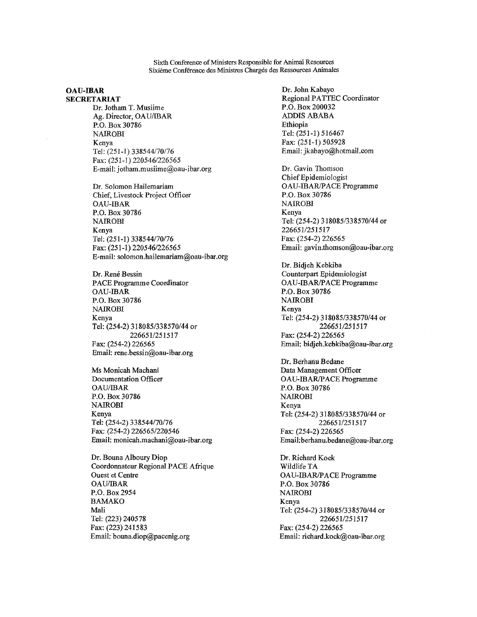Sixth Conference of Ministers Responsible for Animal Resources Sixieme Conference des Ministres Charges des Ressources Animales

#### **OAU-IBAR SECRETARIAT**

Dr. Jotham T. Musiime Ag. Director, OAU/IBAR P.O. Box 30786 NAIROBI Kenya Tel: (251-1) 338544/70/76 Fax: (251-1) 220546/226565 E-mail: jotham.musiime@oau-ibar.org

Dr. Solomon Hailemariam Chief, Livestock Project Officer OAU-IBAR P.O. Box 30786 NAIROBI Kenya Tel: (251-1) 338544/70/76 Fax: (251-1) 220546/226565 E-mail: solomon.hailemariam@oau-ibar.org

Dr. René Bessin PACE Programme Coordinator OAU-IBAR P.O. Box 30786 NAIROBI Kenya Tel: (254-2) 318085/338570/44 or 226651/251517 Fax: (254-2) 226565 Email: rene.bessin@oau-ibar.org

Ms Monicah Machani Documentation Officer OAU/IBAR P.O. Box 30786 NAIROBI Kenya Tel: (254-2) 338544/70/76 Fax: (254-2) 226565/220546 Email: monicah.machani@oau-ibar.org

Dr. Bouna Alboury Diop Coordonnateur Regional PACE Afrique Ouest et Centre OAU/IBAR P.O. Box 2954 BAMAKO Mali Tel: (223) 240578 Fax: (223) 241583 Email: bouna.diop@pacenig.org

Dr. John Kabayo Regional PATTEC Coordinator P.O. Box 200032 ADDIS ABABA Ethiopia Tel: (251-1) 516467 Fax: (251-1) 505928 Email: jkabayo@hotmail.com Dr. Gavin Thomson Chief Epidemiologist OAU-IBAR/PACE Programme P.O. Box 30786 NAIROBI Kenya Tel: (254-2) 318085/338570/44 or 226651/251517 Fax: (254-2) 226565 Email: gavin.thomson@oau-ibar.org Dr. Bidjeh Kebkiba Counterpart Epidemiologist OAU-IBAR/PACE Programme P.O. Box 30786 NAIROBI Kenya Tel: (254-2) 318085/338570/44 or 226651/251517 Fax: (254-2) 226565 Email: bidjeh.kebkiba@oau-ibar.org Dr. Berhanu Bedane Data Management Officer OAU-IBAR/PACE Programme P.O. Box 30786 NAIROBI Kenya Tel: (254-2) 318085/338570/44 or 226651/251517 Fax: (254-2) 226565 Email:berhanu.bedane@oau-ibar.org Dr. Richard Kock Wildlife TA OAU-IBAR/PACE Programme P.O. Box 30786 NAIROBI Kenya Tel: (254-2) 318085/338570/44 or 226651/251517 Fax: (254-2) 226565 Email: richard.kock@oau-ibar.org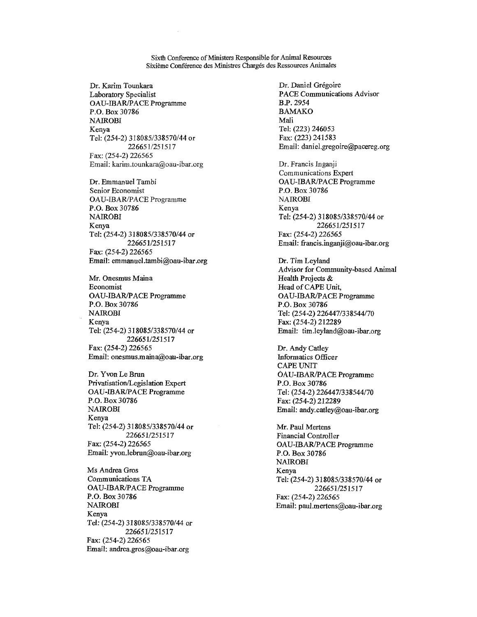Sixth Conference of Ministers Responsible for Animal Resources Sixieme Conference des Ministres Charges des Ressources Animates

Dr. Karim Tounkara Laboratory Specialist OAU-IBARJPACE Programme P.O. Box 30786 NAIROBI Kenya Tel: (254-2) 318085/338570/44 or 226651/251517 Fax: (254-2) 226565 Email: karim.tounkara@oau-ibar.org

Dr. Emmanuel Tambi Senior Economist OAU-IBAR/PACE Programme P.O. Box 30786 NAIROBI Kenya Tel: (254-2) 318085/338570/44 or 226651/251517 Fax: (254-2) 226565 Email: emmanueLtambi@oau-ibar.org

Mr. Onesmus Maina Economist OAU-1BARJPACE Programme P.O. Box 30786 NAIROBI Kenya Tel: (254-2) 318085/338570/44 or 226651/251517 Fax: (254-2) 226565 Email: onesmusinaina@oau-ibar.org

Dr. Yvon Le Brun Privatisation/Legislation Expert OAU-IBARJPACE Programme P.O. Box 30786 NAIROBI Kenya Tel: (254-2)318085/338570/44 or 226651/251517 Fax: (254-2) 226565 Email: yvon.lebrun@oau-ibar.org

Ms Andrea Gros Communications TA OAU-1BAR/PACE Programme P.O. Box 30786 NAIROBI Kenya Tel: (254-2) 318085/338570/44 or 226651/251517 Fax: (254-2) 226565 Email: andrea.gros@oau-ibar.org

Dr. Daniel Grégoire PACE Communications Advisor B.P. 2954 BAMAKO Mali Tel: (223) 246053 Fax: (223) 241583 Email: daniel.gregoire@pacereg.org Dr. Francis Inganji Communications Expert OAU-IBAR/PACE Programme P.O. Box 30786 NAIROBI Kenya Tel: (254-2) 318085/338570/44 or 226651/251517 Fax: (254-2) 226565 Email: francis.inganji@oau-ibar.org Dr. Tim Leyland Advisor for Community-based Animal Health Projects & Head of CAPE Unit, OAU-IBAR1PACE Programme P.O. Box 30786 Tel: (254-2) 226447/338544/70 Fax: (254-2) 212289 Email: tim.Ieyland@oau-ibar.org Dr. Andy Catley Informatics Officer CAPE UNIT OAU-1BAR/PACE Programme P.O. Box 30786 Tel: (254-2) 226447/338544/70 Fax: (254-2) 212289 Email: andy.catley@oau-ibar.org Mr. Paul Mertens Financial Controller OAU-IBAR/PACE Programme P.O. Box 30786 NAIROBI Kenya Tel: (254-2) 318085/338570/44 or 226651/251517 Fax: (254-2) 226565 Email: paul.mertens@oau-ibar.org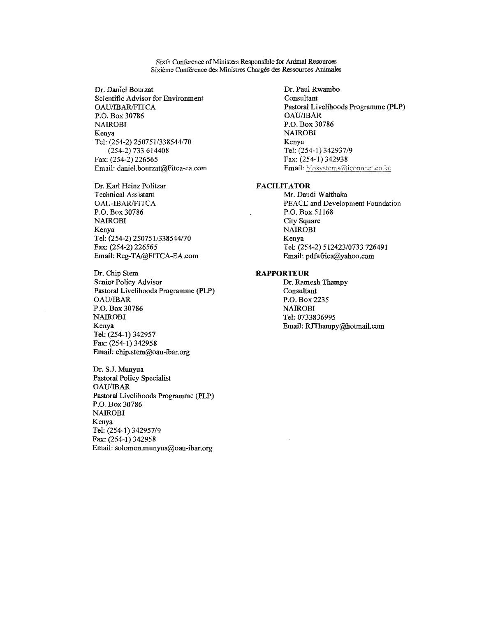Sixth Conference of Ministers Responsible for Animal Resources Sixième Conférence des Ministres Chargés des Ressources Animales

Dr. Daniel Bourzat Scientific Advisor for Environment OAU/IBAR/FITCA P.O. Box 30786 NAIROBI Kenya Tel: (254-2) 250751/338544/70 (254-2) 733 614408 Fax: (254-2) 226565 Email: daniel.bourzat@Fitca-ea.com

Dr. Karl Heinz Politzar Technical Assistant OAU-IBAR/FITCA P.O. Box 30786 NAIROBI Kenya Tel: (254-2) 250751/338544/70 Fax: (254-2) 226565 Email: Reg-TA@FITCA-EA.com

Dr. Chip Stem Senior Policy Advisor Pastoral Livelihoods Programme (PLP) OAU/IBAR P.O. Box 30786 NAIROBI Kenya Tel: (254-1) 342957 Fax: (254-1) 342958 Email: chip.stem@oau-ibar.org

Dr. S.J. Munyua Pastoral Policy Specialist OAU/IBAR Pastoral Livelihoods Programme (PLP) P.O. Box 30786 NAIROBI Kenya Tel: (254-1) 342957/9 Fax: (254-1) 342958 Email: solomon.munyua@oau-ibar.org

Dr. Paul Rwambo Consultant Pastoral Livelihoods Programme (PLP) OAU/IBAR P.O. Box 30786 NAIROBI Kenya Tel: (254-1) 342937/9 Fax: (254-1) 342938 Email: biosystems@iconnect.co.ke

#### FACILITATOR

Mr. Daudi Waithaka PEACE and Development Foundation P.O. Box 51168 City Square **NAIROBI** Kenya Tel: (254-2) 512423/0733 726491 Email: pdfafrica@yahoo.com

#### RAPPORTEUR

Dr. Ramesh Thampy Consultant P.O. Box 2235 NAIROBI Tel: 0733836995 Email: RJThampy@hotmail.com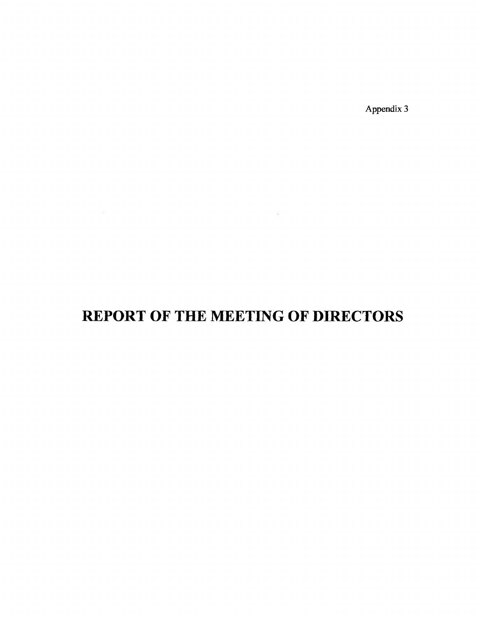Appendix 3

# **REPORT OF THE MEETING OF DIRECTORS**

 $\mathcal{L}^{\text{max}}_{\text{max}}$  , where  $\mathcal{L}^{\text{max}}_{\text{max}}$ 

 $\mathcal{L}^{\text{max}}_{\text{max}}$  and  $\mathcal{L}^{\text{max}}_{\text{max}}$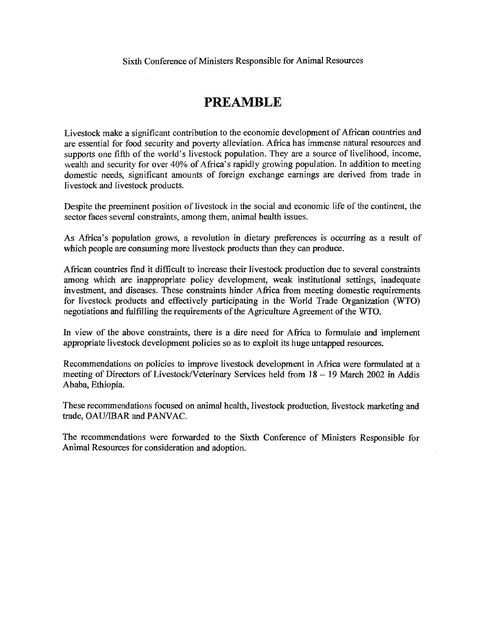## **PREAMBLE**

Livestock make a significant contribution to the economic development of African countries and are essential for food security and poverty alleviation. Africa has immense natural resources and supports one fifth of the world's livestock population. They are a source of livelihood, income, wealth and security for over 40% of Africa's rapidly growing population. In addition to meeting domestic needs, significant amounts of foreign exchange earnings are derived from trade in livestock and livestock products.

Despite the preeminent position of livestock in the social and economic life of the continent, the sector faces several constraints, among them, animal health issues.

As Africa's population grows, a revolution in dietary preferences is occurring as a result of which people are consuming more livestock products than they can produce.

African countries fmd it difficult to increase their livestock production due to several constraints among which are inappropriate policy development, weak institutional settings, inadequate investment, and diseases. These constraints hinder Africa from meeting domestic requirements for livestock products and effectively participating in the World Trade Organization (WTO) negotiations and fulfilling the requirements of the Agriculture Agreement of the WTO.

In view of the above constraints, there is a dire need for Africa to formulate and implement appropriate livestock development policies so as to exploit its huge untapped resources.

Recommendations on policies to improve livestock development in Africa were formulated at a meeting of Directors of Livestock/Veterinary Services held from 18 — 19 March 2002 in Addis Ababa, Ethiopia.

These recommendations focused on animal health, livestock production, livestock marketing and trade, OAU/IBAR and PANVAC.

The recommendations were forwarded to the Sixth Conference of Ministers Responsible for Animal Resources for consideration and adoption.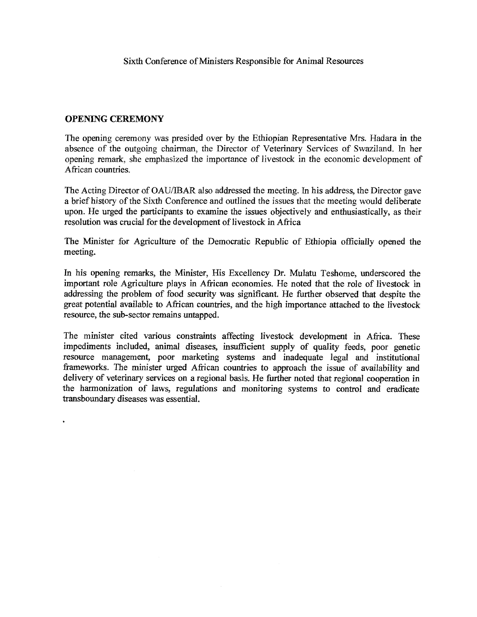### OPENING CEREMONY

The opening ceremony was presided over by the Ethiopian Representative Mrs. Hadara in the absence of the outgoing chairman, the Director of Veterinary Services of Swaziland. In her opening remark, she emphasized the importance of livestock in the economic development of African countries.

The Acting Director of OAU/IBAR also addressed the meeting. In his address, the Director gave a brief history of the Sixth Conference and outlined the issues that the meeting would deliberate upon. He urged the participants to examine the issues objectively and enthusiastically, as their resolution was crucial for the development of livestock in Africa

The Minister for Agriculture of the Democratic Republic of Ethiopia officially opened the meeting.

In his opening remarks, the Minister, His Excellency Dr. Mulatu Teshome, underscored the important role Agriculture plays in African economies. He noted that the role of livestock in addressing the problem of food security was significant. He further observed that despite the great potential available to African countries, and the high importance attached to the livestock resource, the sub-sector remains untapped.

The minister cited various constraints affecting livestock development in Africa. These impediments included, animal diseases, insufficient supply of quality feeds, poor genetic resource management, poor marketing systems and inadequate legal and institutional frameworks. The minister urged African countries to approach the issue of availability and delivery of veterinary services on a regional basis. He further noted that regional cooperation in the harmonization of laws, regulations and monitoring systems to control and eradicate transboundary diseases was essential.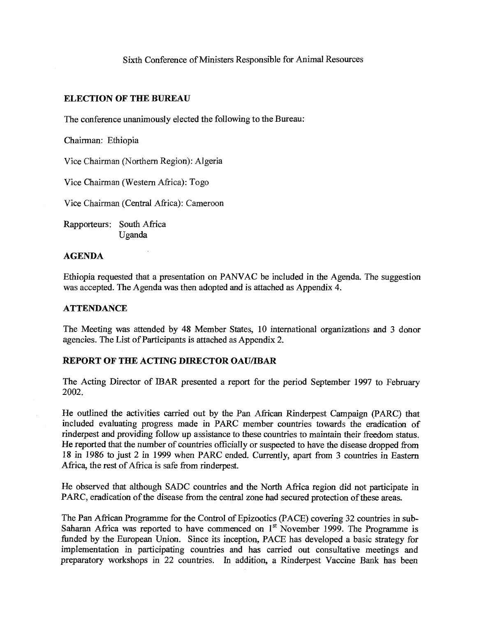### ELECTION OF THE BUREAU

The conference unanimously elected the following to the Bureau:

Chairman: Ethiopia

Vice Chairman (Northern Region): Algeria

Vice Chairman (Western Africa): Togo

Vice Chairman (Central Africa): Cameroon

Rapporteurs: South Africa Uganda

### AGENDA

Ethiopia requested that a presentation on PANVAC be included in the Agenda. The suggestion was accepted. The Agenda was then adopted and is attached as Appendix 4.

### **ATTENDANCE**

The Meeting was attended by 48 Member States, 10 international organizations and 3 donor agencies. The List of Participants is attached as Appendix 2.

### REPORT OF THE ACTING DIRECTOR OAU/IBAR

The Acting Director of MAR presented a report for the period September 1997 to February 2002.

He outlined the activities carried out by the Pan African Rinderpest Campaign (PARC) that included evaluating progress made in PARC member countries towards the eradication of rinderpest and providing follow up assistance to these countries to maintain their freedom status. He reported that the number of countries officially or suspected to have the disease dropped from 18 in 1986 to just 2 in 1999 when PARC ended. Currently, apart from 3 countries in Eastern Africa, the rest of Africa is safe from rinderpest.

He observed that although SADC countries and the North Africa region did not participate in PARC, eradication of the disease from the central zone had secured protection of these areas.

The Pan African Programme for the Control of Epizootics (PACE) covering 32 countries in sub-Saharan Africa was reported to have commenced on  $1<sup>st</sup>$  November 1999. The Programme is funded by the European Union. Since its inception, PACE has developed a basic strategy for implementation in participating countries and has carried out consultative meetings and preparatory workshops in 22 countries. In addition, a Rinderpest Vaccine Bank has been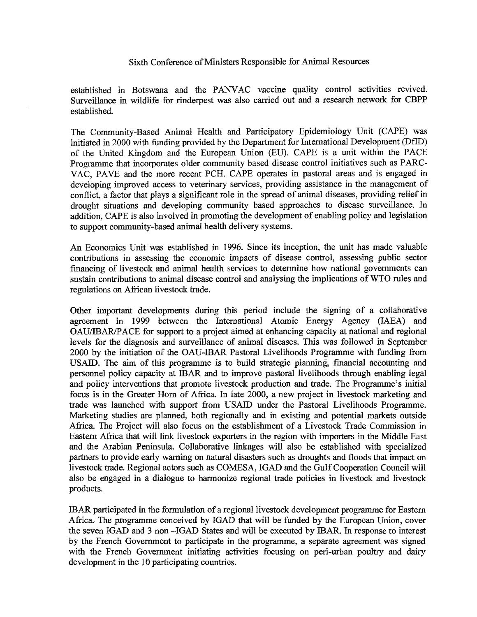established in Botswana and the PANVAC vaccine quality control activities revived. Surveillance in wildlife for rinderpest was also carried out and a research network for CBPP established.

The Community-Based Animal Health and Participatory Epidemiology Unit (CAPE) was initiated in 2000 with funding provided by the Department for International Development (DflD) of the United Kingdom and the European Union (EU). CAPE is a unit within the PACE Programme that incorporates older community based disease control initiatives such as PARC-VAC, PAVE and the more recent PCH. CAPE operates in pastoral areas and is engaged in developing improved access to veterinary services, providing assistance in the management of conflict, a factor that plays a significant role in the spread of animal diseases, providing relief in drought situations and developing community based approaches to disease surveillance. In addition, CAPE is also involved in promoting the development of enabling policy and legislation to support community-based animal health delivery systems.

An Economics Unit was established in 1996. Since its inception, the unit has made valuable contributions in assessing the economic impacts of disease control, assessing public sector financing of livestock and animal health services to determine how national governments can sustain contributions to animal disease control and analysing the implications of WTO rules and regulations on African livestock trade.

Other important developments during this period include the signing of a collaborative agreement in 1999 between the International Atomic Energy Agency (IAEA) and OAU/IBAR/PACE for support to a project aimed at enhancing capacity at national and regional levels for the diagnosis and surveillance of animal diseases. This was followed in September 2000 by the initiation of the OAU-IBAR Pastoral Livelihoods Programme with funding from USAID. The aim of this programme is to build strategic planning, financial accounting and personnel policy capacity at IBAR and to improve pastoral livelihoods through enabling legal and policy interventions that promote livestock production and trade. The Programme's initial focus is in the Greater Horn of Africa. In late 2000, a new project in livestock marketing and trade was launched with support from USAID under the Pastoral Livelihoods Programme. Marketing studies are planned, both regionally and in existing and potential markets outside Africa. The Project will also focus on the establishment of a Livestock Trade Commission in Eastern Africa that will link livestock exporters in the region with importers in the Middle East and the Arabian Peninsula. Collaborative linkages will also be established with specialized partners to provide early warning on natural disasters such as droughts and floods that impact on livestock trade. Regional actors such as COMESA, IGAD and the Gulf Cooperation Council will also be engaged in a dialogue to harmonize regional trade policies in livestock and livestock products.

IBAR participated in the formulation of a regional livestock development programme for Eastern Africa. The programme conceived by IGAD that will be funded by the European Union, cover the seven IGAD and 3 non —IGAD States and will be executed by IBAR. In response to interest by the French Government to participate in the programme, a separate agreement was signed with the French Government initiating activities focusing on peri-urban poultry and dairy development in the 10 participating countries.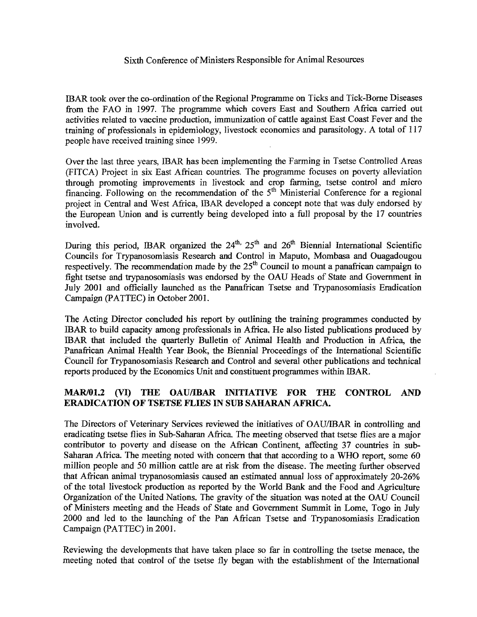IBAR took over the co-ordination of the Regional Programme on Ticks and Tick-Borne Diseases from the FAO in 1997. The programme which covers East and Southern Africa carried out activities related to vaccine production, immunization of cattle against East Coast Fever and the training of professionals in epidemiology, livestock economics and parasitology. A total of 117 people have received training since 1999.

Over the last three years, IBAR has been implementing the Farming in Tsetse Controlled Areas (FITCA) Project in six East African countries. The programme focuses on poverty alleviation through promoting improvements in livestock and crop farming, tsetse control and micro financing. Following on the recommendation of the  $5<sup>th</sup>$  Ministerial Conference for a regional project in Central and West Africa, IBAR developed a concept note that was duly endorsed by the European Union and is currently being developed into a full proposal by the 17 countries involved.

During this period, IBAR organized the  $24^{th}$ ,  $25^{th}$  and  $26^{th}$  Biennial International Scientific Councils for Trypanosomiasis Research and Control in Maputo, Mombasa and Ouagadougou respectively. The recommendation made by the  $25<sup>th</sup>$  Council to mount a panafrican campaign to fight tsetse and trypanosomiasis was endorsed by the OAU Heads of State and Government in July 2001 and officially launched as the Panafrican Tsetse and Trypanosomiasis Eradication Campaign (PATTEC) in October 2001.

The Acting Director concluded his report by outlining the training programmes conducted by IBAR to build capacity among professionals in Africa, He also listed publications produced by IBAR that included the quarterly Bulletin of Animal Health and Production in Africa, the Panafrican Animal Health Year Book, the Biennial Proceedings of the International Scientific Council for Trypanosomiasis Research and Control and several other publications and technical reports produced by the Economics Unit and constituent programmes within MAR.

### MAR/01.2 (VI) THE OAU/IBAR INITIATIVE FOR THE CONTROL AND ERADICATION OF TSETSE FLIES IN SUB SAHARAN AFRICA.

The Directors of Veterinary Services reviewed the initiatives of OAU/IBAR in controlling and eradicating tsetse flies in Sub-Saharan Africa. The meeting observed that tsetse flies are a major contributor to poverty and disease on the African Continent, affecting 37 countries in sub-Saharan Africa. The meeting noted with concern that that according to a WHO report, some 60 million people and 50 million cattle are at risk from the disease. The meeting further observed that African animal trypanosomiasis caused an estimated annual loss of approximately 20-26% of the total livestock production as reported by the World Bank and the Food and Agriculture Organization of the United Nations. The gravity of the situation was noted at the OAU Council of Ministers meeting and the Heads of State and Government Summit in Lome, Togo in July 2000 and led to the launching of the Pan African Tsetse and Trypanosomiasis Eradication Campaign (PATTEC) in 2001.

Reviewing the developments that have taken place so far in controlling the tsetse menace, the meeting noted that control of the tsetse fly began with the establishment of the International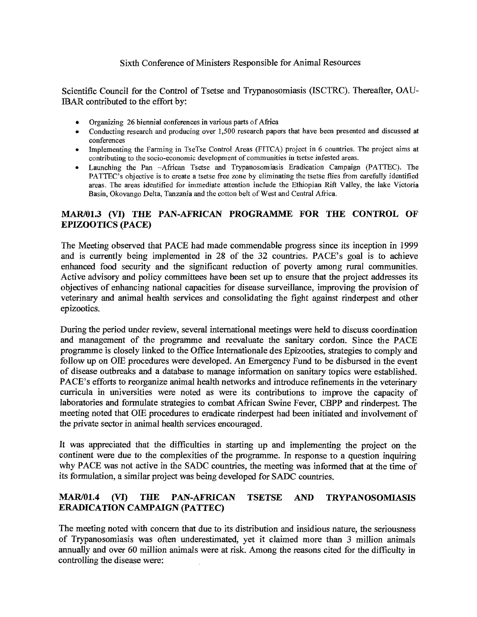Scientific Council for the Control of Tsetse and Trypanosomiasis (ISCTRC). Thereafter, OAU-IBAR contributed to the effort by:

- Organizing 26 biennial conferences in various parts of Africa
- Conducting research and producing over 1,500 research papers that have been presented and discussed at conferences
- Implementing the Farming in TseTse Control Areas (FITCA) project in 6 countries. The project aims at contributing to the socio-economic development of communities in tsetse infested areas.
- Launching the Pan —African Tsetse and Trypanosomiasis Eradication Campaign (PATTEC). The PATTEC's objective is to create a tsetse free zone by eliminating the tsetse flies from carefully identified areas. The areas identified for immediate attention include the Ethiopian Rift Valley, the lake Victoria Basin, Okovango Delta, Tanzania and the cotton belt of West and Central Africa.

### MAR/01.3 (VI) THE PAN-AFRICAN PROGRAMME FOR THE CONTROL OF EPIZOO TICS (PACE)

The Meeting observed that PACE had made commendable progress since its inception in 1999 and is currently being implemented in 28 of the 32 countries. PACE's goal is to achieve enhanced food security and the significant reduction of poverty among rural communities. Active advisory and policy committees have been set up to ensure that the project addresses its objectives of enhancing national capacities for disease surveillance, improving the provision of veterinary and animal health services and consolidating the fight against rinderpest and other epizootics.

During the period under review, several international meetings were held to discuss coordination and management of the programme and reevaluate the sanitary cordon. Since the PACE programme is closely linked to the Office Internationale des Epizooties, strategies to comply and follow up on OIE procedures were developed. An Emergency Fund to be disbursed in the event of disease outbreaks and a database to manage information on sanitary topics were established. PACE's efforts to reorganize animal health networks and introduce refinements in the veterinary curricula in universities were noted as were its contributions to improve the capacity of laboratories and formulate strategies to combat African Swine Fever, CBPP and rinderpest. The meeting noted that OIE procedures to eradicate rinderpest had been initiated and involvement of the private sector in animal health services encouraged.

It was appreciated that the difficulties in starting up and implementing the project on the continent were due to the complexities of the programme. In response to a question inquiring why PACE was not active in the SADC countries, the meeting was informed that at the time of its formulation, a similar project was being developed for SADC countries.

### MAR/01.4 (VI) THE PAN-AFRICAN TSETSE AND TRYPANOSOMIASIS ERADICATION CAMPAIGN (PATTEC)

The meeting noted with concern that due to its distribution and insidious nature, the seriousness of Trypanosomiasis was often underestimated, yet it claimed more than 3 million animals annually and over 60 million animals were at risk. Among the reasons cited for the difficulty in controlling the disease were: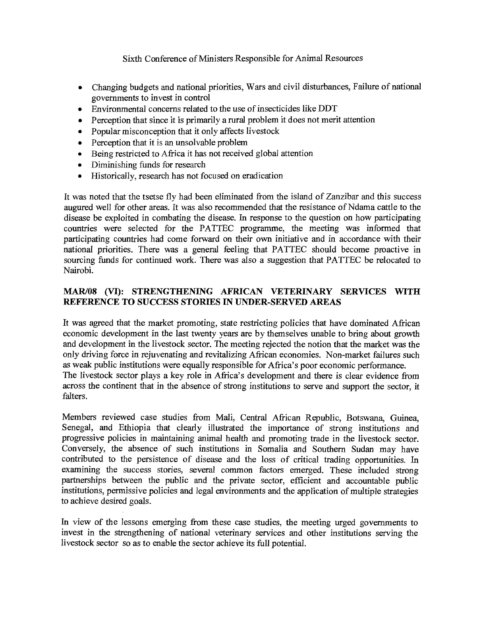- Changing budgets and national priorities, Wars and civil disturbances, Failure of national governments to invest in control
- Environmental concerns related to the use of insecticides like DDT
- Perception that since it is primarily a rural problem it does not merit attention
- Popular misconception that it only affects livestock
- Perception that it is an unsolvable problem
- Being restricted to Africa it has not received global attention
- Diminishing funds for research
- Historically, research has not focused on eradication

It was noted that the tsetse fly had been eliminated from the island of Zanzibar and this success augured well for other areas. It was also recommended that the resistance of Ndama cattle to the disease be exploited in combating the disease. In response to the question on how participating countries were selected for the PATTEC programme, the meeting was informed that participating countries had come forward on their own initiative and in accordance with their national priorities. There was a general feeling that PATTEC should become proactive in sourcing funds for continued work. There was also a suggestion that PATTEC be relocated to Nairobi.

### MAR/08 (VI): STRENGTHENING AFRICAN VETERINARY SERVICES WITH REFERENCE TO SUCCESS STORIES IN UNDER-SERVED AREAS

It was agreed that the market promoting, state restricting policies that have dominated African economic development in the last twenty years are by themselves unable to bring about growth and development in the livestock sector. The meeting rejected the notion that the market was the only driving force in rejuvenating and revitalizing African economies. Non-market failures such as weak public institutions were equally responsible for Africa's poor economic performance. The livestock sector plays a key role in Africa's development and there is clear evidence from across the continent that in the absence of strong institutions to serve and support the sector, it falters.

Members reviewed case studies from Mali, Central African Republic, Botswana, Guinea, Senegal, and Ethiopia that clearly illustrated the importance of strong institutions and progressive policies in maintaining animal health and promoting trade in the livestock sector. Conversely, the absence of such institutions in Somalia and Southern Sudan may have contributed to the persistence of disease and the loss of critical trading opportunities. In examining the success stories, several common factors emerged. These included strong partnerships between the public and the private sector, efficient and accountable public institutions, permissive policies and legal environments and the application of multiple strategies to achieve desired goals.

In view of the lessons emerging from these case studies, the meeting urged governments to invest in the strengthening of national veterinary services and other institutions serving the livestock sector so as to enable the sector achieve its full potential.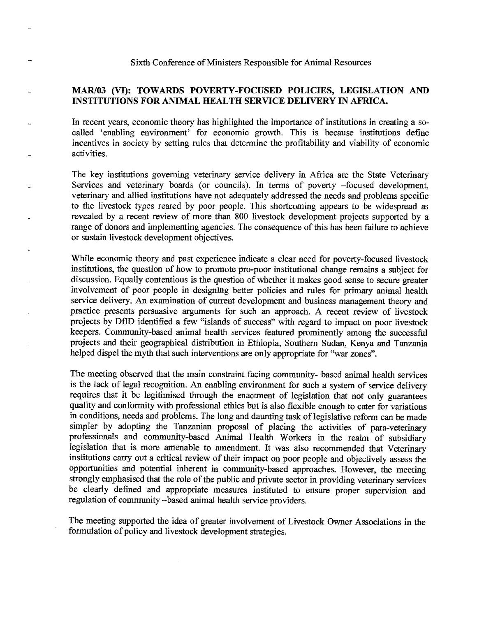### MAR/03 (VI): TOWARDS POVERTY-FOCUSED POLICIES, LEGISLATION AND INSTITUTIONS FOR ANIMAL HEALTH SERVICE DELIVERY IN AFRICA.

In recent years, economic theory has highlighted the importance of institutions in creating a socalled 'enabling environment' for economic growth. This is because institutions define incentives in society by setting rules that determine the profitability and viability of economic activities.

The key institutions governing veterinary service delivery in Africa are the State Veterinary Services and veterinary boards (or councils). In terms of poverty —focused development, veterinary and allied institutions have not adequately addressed the needs and problems specific to the livestock types reared by poor people. This shortcoming appears to be widespread as revealed by a recent review of more than 800 livestock development projects supported by a range of donors and implementing agencies. The consequence of this has been failure to achieve or sustain livestock development objectives.

While economic theory and past experience indicate a clear need for poverty-focused livestock institutions, the question of how to promote pro-poor institutional change remains a subject for discussion. Equally contentious is the question of whether it makes good sense to secure greater involvement of poor people in designing better policies and rules for primary animal health service delivery. An examination of current development and business management theory and practice presents persuasive arguments for such an approach. A recent review of livestock projects by DfID identified a few "islands of success" with regard to impact on poor livestock keepers. Community-based animal health services featured prominently among the successful projects and their geographical distribution in Ethiopia, Southern Sudan, Kenya and Tanzania helped dispel the myth that such interventions are only appropriate for "war zones".

The meeting observed that the main constraint facing community- based animal health services is the lack of legal recognition. An enabling environment for such a system of service delivery requires that it be legitimised through the enactment of legislation that not only guarantees quality and conformity with professional ethics but is also flexible enough to cater for variations in conditions, needs and problems. The long and daunting task of legislative reform can be made simpler by adopting the Tanzanian proposal of placing the activities of para-veterinary professionals and community-based Animal Health Workers in the realm of subsidiary legislation that is more amenable to amendment. It was also recommended that Veterinary institutions carry out a critical review of their impact on poor people and objectively assess the opportunities and potential inherent in community-based approaches. However, the meeting strongly emphasised that the role of the public and private sector in providing veterinary services be clearly defined and appropriate measures instituted to ensure proper supervision and regulation of community —based animal health service providers.

The meeting supported the idea of greater involvement of Livestock Owner Associations in the formulation of policy and livestock development strategies.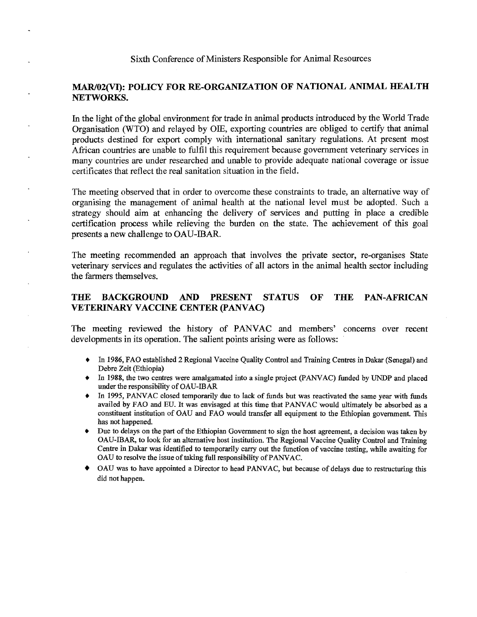### MAR/02(VI): POLICY FOR RE-ORGANIZATION OF NATIONAL ANIMAL HEALTH NETWORKS.

In the light of the global environment for trade in animal products introduced by the World Trade Organisation (WTO) and relayed by 01E, exporting countries are obliged to certify that animal products destined for export comply with international sanitary regulations. At present most African countries are unable to fulfil this requirement because government veterinary services in many countries are under researched and unable to provide adequate national coverage or issue certificates that reflect the real sanitation situation in the field.

The meeting observed that in order to overcome these constraints to trade, an alternative way of organising the management of animal health at the national level must be adopted. Such a strategy should aim at enhancing the delivery of services and putting in place a credible certification process while relieving the burden on the state. The achievement of this goal presents a new challenge to OAU-IBAR.

The meeting recommended an approach that involves the private sector, re-organises State veterinary services and regulates the activities of all actors in the animal health sector including the farmers themselves.

### THE BACKGROUND AND PRESENT STATUS OF THE PAN-AFRICAN VETERINARY VACCINE CENTER (PANVAC)

The meeting reviewed the history of PANVAC and members' concerns over recent developments in its operation. The salient points arising were as follows:

- In 1986, FAO established 2 Regional Vaccine Quality Control and Training Centres in Dakar (Senegal) and Debre Zeit (Ethiopia)
- In 1988, the two centres were amalgamated into a single project (PANVAC) funded by UNDP and placed under the responsibility of OAU-IBAR
- ♦ In 1995, PANVAC closed temporarily due to lack of funds but was reactivated the same year with funds availed by FAO and EU. It was envisaged at this time that PANVAC would ultimately be absorbed as a constituent institution of OAU and FAO would transfer all equipment to the Ethiopian government. This has not happened.
- Due to delays on the part of the Ethiopian Government to sign the host agreement, a decision was taken by OAU-IBAR, to look for an alternative host institution. The Regional Vaccine Quality Control and Training Centre in Dakar was identified to temporarily carry out the function of vaccine testing, while awaiting for OAU to resolve the issue of taking full responsibility of PANVAC.
- OAU was to have appointed a Director to head PANVAC, but because of delays due to restructuring this did not happen.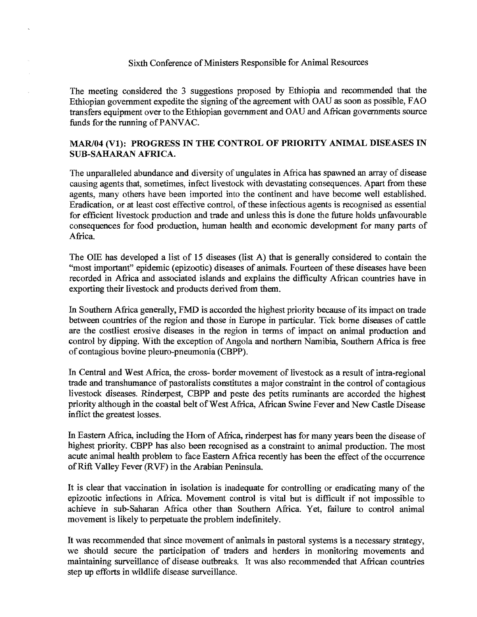The meeting considered the 3 suggestions proposed by Ethiopia and recommended that the Ethiopian government expedite the signing of the agreement with OAU as soon as possible, FAO transfers equipment over to the Ethiopian government and OAU and African governments source funds for the running of PANVAC.

### MAR/04 (VI): PROGRESS IN THE CONTROL OF PRIORITY ANIMAL DISEASES IN SUB-SAHARAN AFRICA.

The unparalleled abundance and diversity of ungulates in Africa has spawned an array of disease causing agents that, sometimes, infect livestock with devastating consequences. Apart from these agents, many others have been imported into the continent and have become well established. Eradication, or at least cost effective control, of these infectious agents is recognised as essential for efficient livestock production and trade and unless this is done the future holds unfavourable consequences for food production, human health and economic development for many parts of Africa.

The OIE has developed a list of 15 diseases (list A) that is generally considered to contain the "most important" epidemic (epizootic) diseases of animals. Fourteen of these diseases have been recorded in Africa and associated islands and explains the difficulty African countries have in exporting their livestock and products derived from them.

In Southern Africa generally, FMD is accorded the highest priority because of its impact on trade between countries of the region and those in Europe in particular. Tick borne diseases of cattle are the costliest erosive diseases in the region in terms of impact on animal production and control by dipping. With the exception of Angola and northern Namibia, Southern Africa is free of contagious bovine pleuro-pneumonia (CBPP).

In Central and West Africa, the cross- border movement of livestock as a result of intra-regional trade and transhumance of pastoralists constitutes a major constraint in the control of contagious livestock diseases. Rinderpest, CBPP and peste des petits ruminants are accorded the highest priority although in the coastal belt of West Africa, African Swine Fever and New Castle Disease inflict the greatest losses.

In Eastern Africa, including the Horn of Africa, rinderpest has for many years been the disease of highest priority. CBPP has also been recognised as a constraint to animal production. The most acute animal health problem to face Eastern Africa recently has been the effect of the occurrence of Rift Valley Fever (RVF) in the Arabian Peninsula.

It is clear that vaccination in isolation is inadequate for controlling or eradicating many of the epizootic infections in Africa. Movement control is vital but is difficult if not impossible to achieve in sub-Saharan Africa other than Southern Africa. Yet, failure to control animal movement is likely to perpetuate the problem indefinitely.

It was recommended that since movement of animals in pastoral systems is a necessary strategy, we should secure the participation of traders and herders in monitoring movements and maintaining surveillance of disease outbreaks. It was also recommended that African countries step up efforts in wildlife disease surveillance.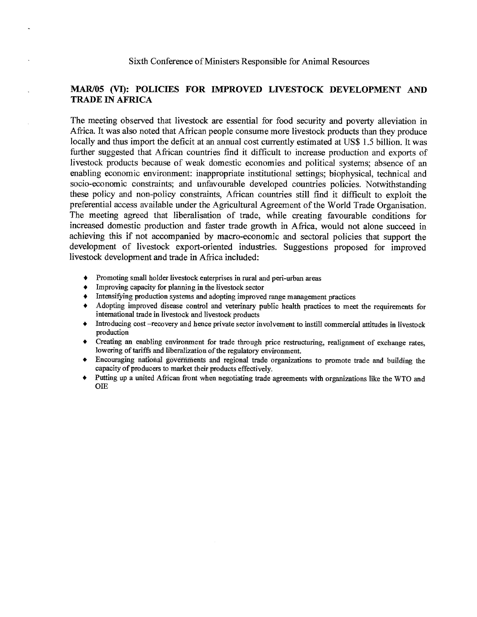### MAR/05 (VI): POLICIES FOR IMPROVED LIVESTOCK DEVELOPMENT AND TRADE IN AFRICA

The meeting observed that livestock are essential for food security and poverty alleviation in Africa. It was also noted that African people consume more livestock products than they produce locally and thus import the deficit at an annual cost currently estimated at US\$ 1.5 billion. It was further suggested that African countries find it difficult to increase production and exports of livestock products because of weak domestic economies and political systems; absence of an enabling economic environment: inappropriate institutional settings; biophysical, technical and socio-economic constraints; and unfavourable developed countries policies. Notwithstanding these policy and non-policy constraints, African countries still find it difficult to exploit the preferential access available under the Agricultural Agreement of the World Trade Organisation. The meeting agreed that liberalisation of trade, while creating favourable conditions for increased domestic production and faster trade growth in Africa, would not alone succeed in achieving this if not accompanied by macro-economic and sectoral policies that support the development of livestock export-oriented industries. Suggestions proposed for improved livestock development and trade in Africa included:

- Promoting small holder livestock enterprises in rural and peri-urban areas
- Improving capacity for planning in the livestock sector
- Intensifying production systems and adopting improved range management practices
- Adopting improved disease control and veterinary public health practices to meet the requirements for international trade in livestock and livestock products
- Introducing cost -recovery and hence private sector involvement to instill commercial attitudes in livestock production
- Creating an enabling environment for trade through price restructuring, realignment of exchange rates, lowering of tariffs and liberalization of the regulatory environment.
- Encouraging national governments and regional trade organizations to promote trade and building the capacity of producers to market their products effectively.
- ♦ Putting up a united African front when negotiating trade agreements with organizations like the WTO and OIE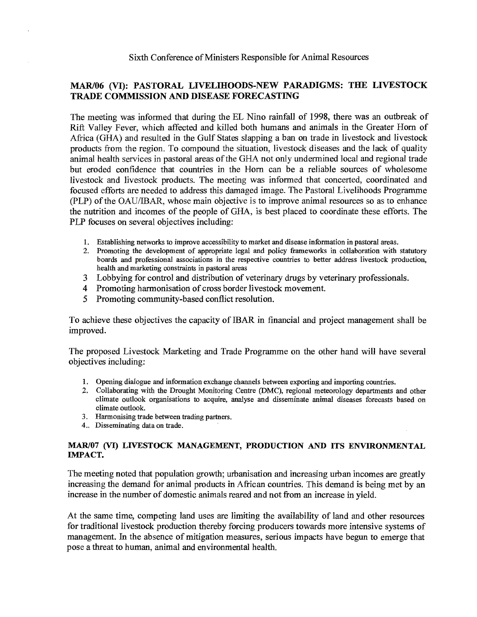### MAR/06 (VI): PASTORAL LIVELIHOODS-NEW PARADIGMS: THE LIVESTOCK TRADE COMMISSION AND DISEASE FORECASTING

The meeting was informed that during the EL Nino rainfall of 1998, there was an outbreak of Rift Valley Fever, which affected and killed both humans and animals in the Greater Horn of Africa (GHA) and resulted in the Gulf States slapping a ban on trade in livestock and livestock products from the region. To compound the situation, livestock diseases and the lack of quality animal health services in pastoral areas of the GHA not only undermined local and regional trade but eroded confidence that countries in the Horn can be a reliable sources of wholesome livestock and livestock products. The meeting was informed that concerted, coordinated and focused efforts are needed to address this damaged image. The Pastoral Livelihoods Programme (PLP) of the OAU/IBAR, whose main objective is to improve animal resources so as to enhance the nutrition and incomes of the people of GHA, is best placed to coordinate these efforts. The PLP focuses on several objectives including:

- 1. Establishing networks to improve accessibility to market and disease information in pastoral areas.
- 2. Promoting the development of appropriate legal and policy frameworks in collaboration with statutory boards and professional associations in the respective countries to better address livestock production, health and marketing constraints in pastoral areas
- 3 Lobbying for control and distribution of veterinary drugs by veterinary professionals.
- 4 Promoting harmonisation of cross border livestock movement.
- 5 Promoting community-based conflict resolution.

To achieve these objectives the capacity of IBAR in financial and project management shall be improved.

The proposed Livestock Marketing and Trade Programme on the other hand will have several objectives including:

- 1. Opening dialogue and information exchange channels between exporting and importing countries.
- 2. Collaborating with the Drought Monitoring Centre (DMC), regional meteorology departments and other climate outlook organisations to acquire, analyse and disseminate animal diseases forecasts based on climate outlook.
- 3. Harmonising trade between trading partners.
- 4.. Disseminating data on trade.

### MAR/07 (VI) LIVESTOCK MANAGEMENT, PRODUCTION AND ITS ENVIRONMENTAL IMPACT.

The meeting noted that population growth; urbanisation and increasing urban incomes are greatly increasing the demand for animal products in African countries. This demand is being met by an increase in the number of domestic animals reared and not from an increase in yield.

At the same time, competing land uses are limiting the availability of land and other resources for traditional livestock production thereby forcing producers towards more intensive systems of management. In the absence of mitigation measures, serious impacts have begun to emerge that pose a threat to human, animal and environmental health.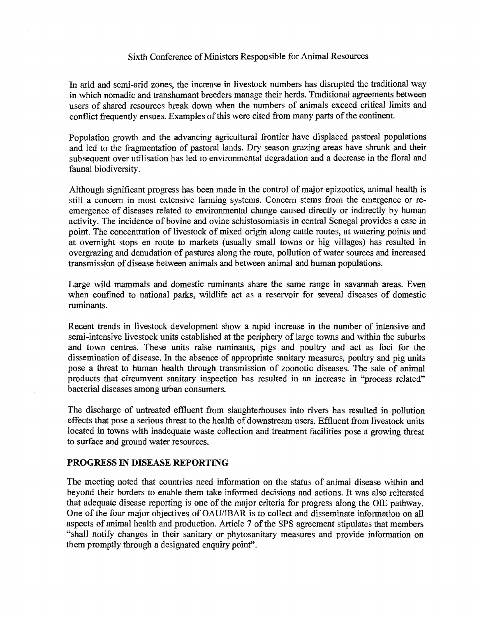In arid and semi-arid zones, the increase in livestock numbers has disrupted the traditional way in which nomadic and transhumant breeders manage their herds. Traditional agreements between users of shared resources break down when the numbers of animals exceed critical limits and conflict frequently ensues. Examples of this were cited from many parts of the continent.

Population growth and the advancing agricultural frontier have displaced pastoral populations and led to the fragmentation of pastoral lands. Dry season grazing areas have shrunk and their subsequent over utilisation has led to environmental degradation and a decrease in the floral and faunal biodiversity.

Although significant progress has been made in the control of major epizootics, animal health is still a concern in most extensive farming systems. Concern stems from the emergence or reemergence of diseases related to environmental change caused directly or indirectly by human activity. The incidence of bovine and ovine schistosomiasis in central Senegal provides a case in point. The concentration of livestock of mixed origin along cattle routes, at watering points and at overnight stops en route to markets (usually small towns or big villages) has resulted in overgrazing and denudation of pastures along the route, pollution of water sources and increased transmission of disease between animals and between animal and human populations.

Large wild mammals and domestic ruminants share the same range in savannah areas. Even when confined to national parks, wildlife act as a reservoir for several diseases of domestic ruminants.

Recent trends in livestock development show a rapid increase in the number of intensive and semi-intensive livestock units established at the periphery of large towns and within the suburbs and town centres. These units raise ruminants, pigs and poultry and act as foci for the dissemination of disease. In the absence of appropriate sanitary measures, poultry and pig units pose a threat to human health through transmission of zoonotic diseases. The sale of animal products that circumvent sanitary inspection has resulted in an increase in "process related" bacterial diseases among urban consumers.

The discharge of untreated effluent from slaughterhouses into rivers has resulted in pollution effects that pose a serious threat to the health of downstream users. Effluent from livestock units located in towns with inadequate waste collection and treatment facilities pose a growing threat to surface and ground water resources.

### **PROGRESS IN DISEASE REPORTING**

The meeting noted that countries need information on the status of animal disease within and beyond their borders to enable them take informed decisions and actions. It was also reiterated that adequate disease reporting is one of the major criteria for progress along the OIE pathway. One of the four major objectives of OAU/IBAR is to collect and disseminate information on all aspects of animal health and production. Article 7 of the SPS agreement stipulates that members "shall notify changes in their sanitary or phytosanitary measures and provide information on them promptly through a designated enquiry point".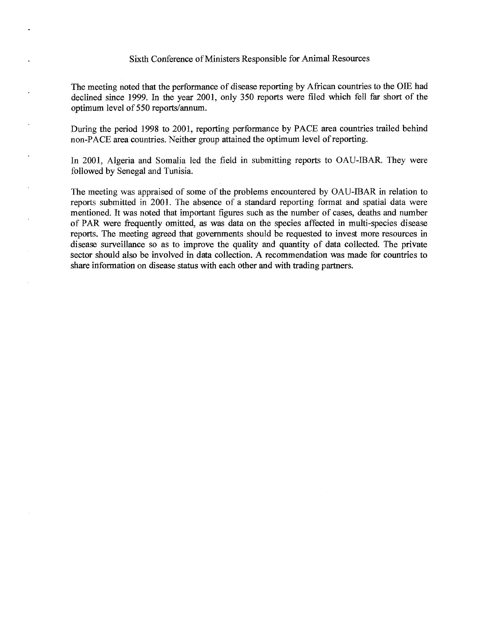The meeting noted that the performance of disease reporting by African countries to the OIE had declined since 1999. In the year 2001, only 350 reports were filed which fell far short of the optimum level of 550 reports/annum.

During the period 1998 to 2001, reporting performance by PACE area countries trailed behind non-PACE area countries. Neither group attained the optimum level of reporting.

In 2001, Algeria and Somalia led the field in submitting reports to OAU-IBAR. They were followed by Senegal and Tunisia.

The meeting was appraised of some of the problems encountered by OAU-IBAR in relation to reports submitted in 2001. The absence of a standard reporting format and spatial data were mentioned. It was noted that important figures such as the number of cases, deaths and number of PAR were frequently omitted, as was data on the species affected in multi-species disease reports. The meeting agreed that governments should be requested to invest more resources in disease surveillance so as to improve the quality and quantity of data collected. The private sector should also be involved in data collection. A recommendation was made for countries to share information on disease status with each other and with trading partners.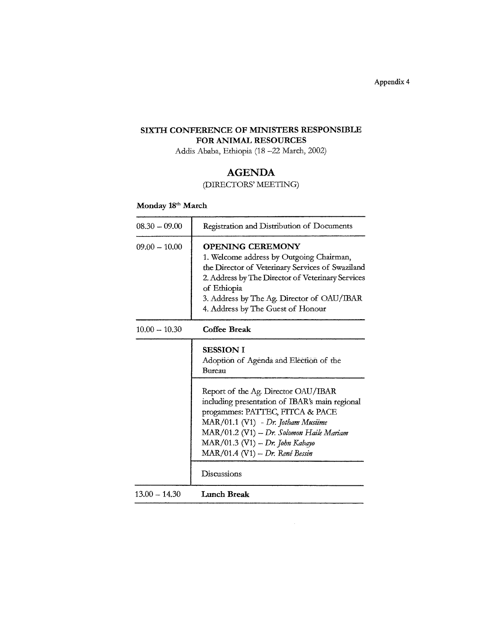Appendix 4

### SIXTH CONFERENCE OF MINISTERS RESPONSIBLE FOR ANIMAL RESOURCES

Addis Ababa, Ethiopia (18 —22 March, 2002)

### AGENDA (DIRECTORS' MEETING)

### Monday 18<sup>th</sup> March

| $08.30 - 09.00$ | Registration and Distribution of Documents                                                                                                                                                                                                                                       |
|-----------------|----------------------------------------------------------------------------------------------------------------------------------------------------------------------------------------------------------------------------------------------------------------------------------|
| $09.00 - 10.00$ | <b>OPENING CEREMONY</b><br>1. Welcome address by Outgoing Chairman,<br>the Director of Veterinary Services of Swaziland<br>2. Address by The Director of Veterinary Services<br>of Ethiopia<br>3. Address by The Ag. Director of OAU/IBAR<br>4. Address by The Guest of Honour   |
| $10.00 - 10.30$ | Coffee Break                                                                                                                                                                                                                                                                     |
|                 | <b>SESSION I</b><br>Adoption of Agenda and Election of the<br>Bureau                                                                                                                                                                                                             |
|                 | Report of the Ag. Director OAU/IBAR<br>including presentation of IBAR's main regional<br>progammes: PATTEC, FITCA & PACE<br>MAR/01.1 (V1) - Dr. Jotham Musiime<br>MAR/01.2 (V1) - Dr. Solomon Haile Mariam<br>MAR/01.3 (V1) - Dr. John Kabayo<br>MAR/01.4 (V1) - Dr. René Bessin |
|                 | Discussions                                                                                                                                                                                                                                                                      |
| $13.00 - 14.30$ | Lunch Break                                                                                                                                                                                                                                                                      |

 $\hat{\mathcal{A}}$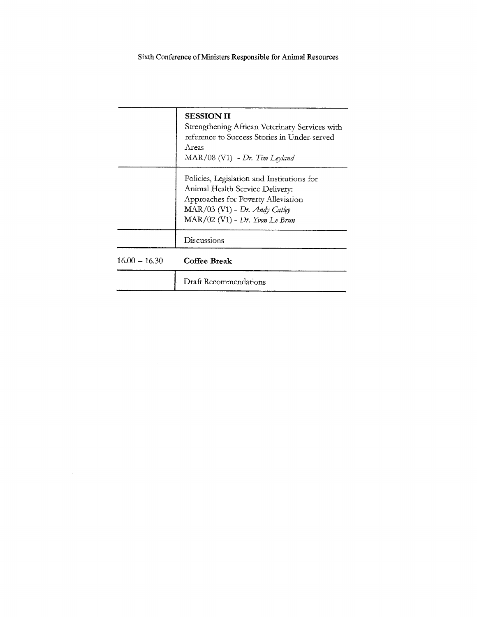|                 | <b>SESSION II</b><br>Strengthening African Veterinary Services with<br>reference to Success Stories in Under-served<br>Areas<br>MAR/08 (V1) - Dr. Tim Leyland                          |
|-----------------|----------------------------------------------------------------------------------------------------------------------------------------------------------------------------------------|
|                 | Policies, Legislation and Institutions for<br>Animal Health Service Delivery:<br>Approaches for Poverty Alleviation<br>MAR/03 (V1) - Dr. Andy Catley<br>MAR/02 (V1) - Dr. Yvon Le Brun |
|                 | Discussions                                                                                                                                                                            |
| $16.00 - 16.30$ | Coffee Break                                                                                                                                                                           |
|                 | Draft Recommendations                                                                                                                                                                  |